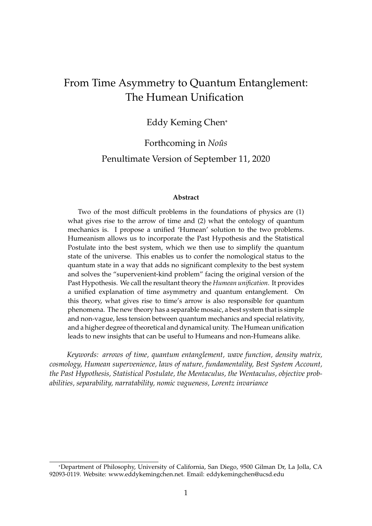# From Time Asymmetry to Quantum Entanglement: The Humean Unification

## Eddy Keming Chen\*

#### Forthcoming in *Noûs*

Penultimate Version of September 11, 2020

#### **Abstract**

Two of the most difficult problems in the foundations of physics are (1) what gives rise to the arrow of time and (2) what the ontology of quantum mechanics is. I propose a unified 'Humean' solution to the two problems. Humeanism allows us to incorporate the Past Hypothesis and the Statistical Postulate into the best system, which we then use to simplify the quantum state of the universe. This enables us to confer the nomological status to the quantum state in a way that adds no significant complexity to the best system and solves the "supervenient-kind problem" facing the original version of the Past Hypothesis. We call the resultant theory the *Humean unification*. It provides a unified explanation of time asymmetry and quantum entanglement. On this theory, what gives rise to time's arrow is also responsible for quantum phenomena. The new theory has a separable mosaic, a best system that is simple and non-vague, less tension between quantum mechanics and special relativity, and a higher degree of theoretical and dynamical unity. The Humean unification leads to new insights that can be useful to Humeans and non-Humeans alike.

*Keywords: arrows of time, quantum entanglement, wave function, density matrix, cosmology, Humean supervenience, laws of nature, fundamentality, Best System Account, the Past Hypothesis, Statistical Postulate, the Mentaculus, the Wentaculus, objective probabilities, separability, narratability, nomic vagueness, Lorentz invariance*

<sup>\*</sup>Department of Philosophy, University of California, San Diego, 9500 Gilman Dr, La Jolla, CA 92093-0119. Website: www.eddykemingchen.net. Email: eddykemingchen@ucsd.edu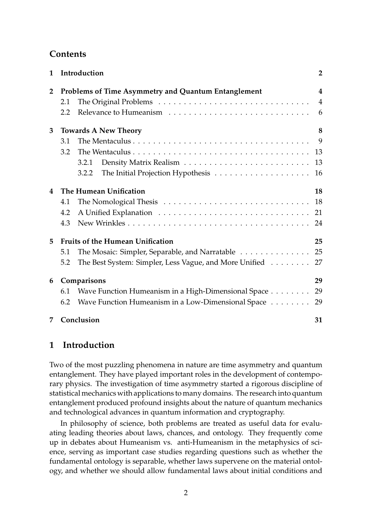## **Contents**

| 1              |                                                     | Introduction                                           | $\overline{2}$ |
|----------------|-----------------------------------------------------|--------------------------------------------------------|----------------|
| $\overline{2}$ | Problems of Time Asymmetry and Quantum Entanglement |                                                        | 4              |
|                | 2.1                                                 |                                                        | $\overline{4}$ |
|                | 2.2                                                 |                                                        | 6              |
| 3              | <b>Towards A New Theory</b>                         |                                                        | 8              |
|                | 3.1                                                 |                                                        | - 9            |
|                | 3.2                                                 |                                                        |                |
|                |                                                     | 3.2.1                                                  | 13             |
|                |                                                     | 3.2.2                                                  | 16             |
| 4              | The Humean Unification                              |                                                        | 18             |
|                | 4.1                                                 |                                                        | 18             |
|                | 4.2                                                 |                                                        | 21             |
|                | 4.3                                                 |                                                        | 24             |
| 5              |                                                     | <b>Fruits of the Humean Unification</b>                | 25             |
|                | 5.1                                                 | The Mosaic: Simpler, Separable, and Narratable         | 25             |
|                | 5.2                                                 | The Best System: Simpler, Less Vague, and More Unified | 27             |
| 6              | Comparisons                                         |                                                        | 29             |
|                | 6.1                                                 | Wave Function Humeanism in a High-Dimensional Space    | 29             |
|                | 6.2                                                 | Wave Function Humeanism in a Low-Dimensional Space     | 29             |
| 7              | Conclusion                                          |                                                        | 31             |

### **1 Introduction**

Two of the most puzzling phenomena in nature are time asymmetry and quantum entanglement. They have played important roles in the development of contemporary physics. The investigation of time asymmetry started a rigorous discipline of statistical mechanics with applications to many domains. The research into quantum entanglement produced profound insights about the nature of quantum mechanics and technological advances in quantum information and cryptography.

In philosophy of science, both problems are treated as useful data for evaluating leading theories about laws, chances, and ontology. They frequently come up in debates about Humeanism vs. anti-Humeanism in the metaphysics of science, serving as important case studies regarding questions such as whether the fundamental ontology is separable, whether laws supervene on the material ontology, and whether we should allow fundamental laws about initial conditions and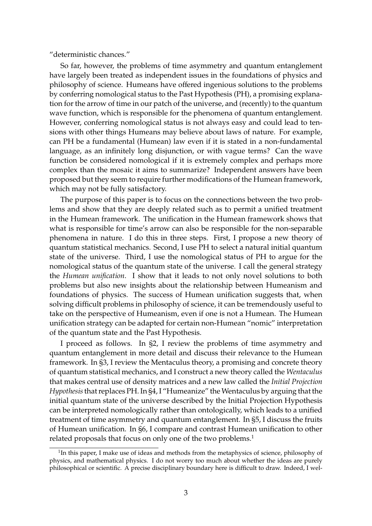"deterministic chances."

So far, however, the problems of time asymmetry and quantum entanglement have largely been treated as independent issues in the foundations of physics and philosophy of science. Humeans have offered ingenious solutions to the problems by conferring nomological status to the Past Hypothesis (PH), a promising explanation for the arrow of time in our patch of the universe, and (recently) to the quantum wave function, which is responsible for the phenomena of quantum entanglement. However, conferring nomological status is not always easy and could lead to tensions with other things Humeans may believe about laws of nature. For example, can PH be a fundamental (Humean) law even if it is stated in a non-fundamental language, as an infinitely long disjunction, or with vague terms? Can the wave function be considered nomological if it is extremely complex and perhaps more complex than the mosaic it aims to summarize? Independent answers have been proposed but they seem to require further modifications of the Humean framework, which may not be fully satisfactory.

The purpose of this paper is to focus on the connections between the two problems and show that they are deeply related such as to permit a unified treatment in the Humean framework. The unification in the Humean framework shows that what is responsible for time's arrow can also be responsible for the non-separable phenomena in nature. I do this in three steps. First, I propose a new theory of quantum statistical mechanics. Second, I use PH to select a natural initial quantum state of the universe. Third, I use the nomological status of PH to argue for the nomological status of the quantum state of the universe. I call the general strategy the *Humean unification*. I show that it leads to not only novel solutions to both problems but also new insights about the relationship between Humeanism and foundations of physics. The success of Humean unification suggests that, when solving difficult problems in philosophy of science, it can be tremendously useful to take on the perspective of Humeanism, even if one is not a Humean. The Humean unification strategy can be adapted for certain non-Humean "nomic" interpretation of the quantum state and the Past Hypothesis.

I proceed as follows. In §2, I review the problems of time asymmetry and quantum entanglement in more detail and discuss their relevance to the Humean framework. In §3, I review the Mentaculus theory, a promising and concrete theory of quantum statistical mechanics, and I construct a new theory called the *Wentaculus* that makes central use of density matrices and a new law called the *Initial Projection Hypothesis*that replaces PH. In §4, I "Humeanize" theWentaculus by arguing that the initial quantum state of the universe described by the Initial Projection Hypothesis can be interpreted nomologically rather than ontologically, which leads to a unified treatment of time asymmetry and quantum entanglement. In §5, I discuss the fruits of Humean unification. In §6, I compare and contrast Humean unification to other related proposals that focus on only one of the two problems.<sup>1</sup>

 $1$ In this paper, I make use of ideas and methods from the metaphysics of science, philosophy of physics, and mathematical physics. I do not worry too much about whether the ideas are purely philosophical or scientific. A precise disciplinary boundary here is difficult to draw. Indeed, I wel-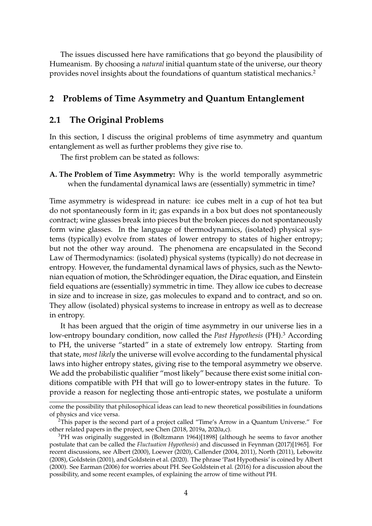The issues discussed here have ramifications that go beyond the plausibility of Humeanism. By choosing a *natural* initial quantum state of the universe, our theory provides novel insights about the foundations of quantum statistical mechanics.<sup>2</sup>

## **2 Problems of Time Asymmetry and Quantum Entanglement**

### **2.1 The Original Problems**

In this section, I discuss the original problems of time asymmetry and quantum entanglement as well as further problems they give rise to.

The first problem can be stated as follows:

**A. The Problem of Time Asymmetry:** Why is the world temporally asymmetric when the fundamental dynamical laws are (essentially) symmetric in time?

Time asymmetry is widespread in nature: ice cubes melt in a cup of hot tea but do not spontaneously form in it; gas expands in a box but does not spontaneously contract; wine glasses break into pieces but the broken pieces do not spontaneously form wine glasses. In the language of thermodynamics, (isolated) physical systems (typically) evolve from states of lower entropy to states of higher entropy; but not the other way around. The phenomena are encapsulated in the Second Law of Thermodynamics: (isolated) physical systems (typically) do not decrease in entropy. However, the fundamental dynamical laws of physics, such as the Newtonian equation of motion, the Schrödinger equation, the Dirac equation, and Einstein field equations are (essentially) symmetric in time. They allow ice cubes to decrease in size and to increase in size, gas molecules to expand and to contract, and so on. They allow (isolated) physical systems to increase in entropy as well as to decrease in entropy.

It has been argued that the origin of time asymmetry in our universe lies in a low-entropy boundary condition, now called the *Past Hypothesis* (PH).<sup>3</sup> According to PH, the universe "started" in a state of extremely low entropy. Starting from that state, *most likely* the universe will evolve according to the fundamental physical laws into higher entropy states, giving rise to the temporal asymmetry we observe. We add the probabilistic qualifier "most likely" because there exist some initial conditions compatible with PH that will go to lower-entropy states in the future. To provide a reason for neglecting those anti-entropic states, we postulate a uniform

come the possibility that philosophical ideas can lead to new theoretical possibilities in foundations of physics and vice versa.

 $2^2$ This paper is the second part of a project called "Time's Arrow in a Quantum Universe." For other related papers in the project, see Chen (2018, 2019a, 2020a,c).

 $3PH$  was originally suggested in (Boltzmann 1964)[1898] (although he seems to favor another postulate that can be called the *Fluctuation Hypothesis*) and discussed in Feynman (2017)[1965]. For recent discussions, see Albert (2000), Loewer (2020), Callender (2004, 2011), North (2011), Lebowitz (2008), Goldstein (2001), and Goldstein et al. (2020). The phrase 'Past Hypothesis' is coined by Albert (2000). See Earman (2006) for worries about PH. See Goldstein et al. (2016) for a discussion about the possibility, and some recent examples, of explaining the arrow of time without PH.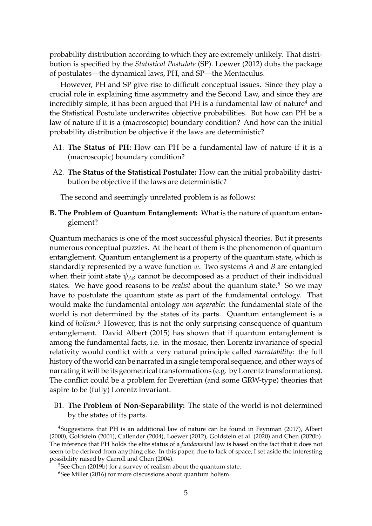probability distribution according to which they are extremely unlikely. That distribution is specified by the *Statistical Postulate* (SP). Loewer (2012) dubs the package of postulates—the dynamical laws, PH, and SP—the Mentaculus.

However, PH and SP give rise to difficult conceptual issues. Since they play a crucial role in explaining time asymmetry and the Second Law, and since they are incredibly simple, it has been argued that PH is a fundamental law of nature<sup>4</sup> and the Statistical Postulate underwrites objective probabilities. But how can PH be a law of nature if it is a (macroscopic) boundary condition? And how can the initial probability distribution be objective if the laws are deterministic?

- A1. **The Status of PH:** How can PH be a fundamental law of nature if it is a (macroscopic) boundary condition?
- A2. **The Status of the Statistical Postulate:** How can the initial probability distribution be objective if the laws are deterministic?

The second and seemingly unrelated problem is as follows:

**B. The Problem of Quantum Entanglement:** What is the nature of quantum entanglement?

Quantum mechanics is one of the most successful physical theories. But it presents numerous conceptual puzzles. At the heart of them is the phenomenon of quantum entanglement. Quantum entanglement is a property of the quantum state, which is standardly represented by a wave function  $\psi$ . Two systems *A* and *B* are entangled when their joint state  $\psi_{AB}$  cannot be decomposed as a product of their individual states. We have good reasons to be *realist* about the quantum state.<sup>5</sup> So we may have to postulate the quantum state as part of the fundamental ontology. That would make the fundamental ontology *non-separable*: the fundamental state of the world is not determined by the states of its parts. Quantum entanglement is a kind of *holism*. <sup>6</sup> However, this is not the only surprising consequence of quantum entanglement. David Albert (2015) has shown that if quantum entanglement is among the fundamental facts, i.e. in the mosaic, then Lorentz invariance of special relativity would conflict with a very natural principle called *narratability*: the full history of the world can be narrated in a single temporal sequence, and other ways of narrating it will be its geometrical transformations (e.g. by Lorentz transformations). The conflict could be a problem for Everettian (and some GRW-type) theories that aspire to be (fully) Lorentz invariant.

B1. **The Problem of Non-Separability:** The state of the world is not determined by the states of its parts.

<sup>4</sup>Suggestions that PH is an additional law of nature can be found in Feynman (2017), Albert (2000), Goldstein (2001), Callender (2004), Loewer (2012), Goldstein et al. (2020) and Chen (2020b). The inference that PH holds the elite status of a *fundamental* law is based on the fact that it does not seem to be derived from anything else. In this paper, due to lack of space, I set aside the interesting possibility raised by Carroll and Chen (2004).

<sup>&</sup>lt;sup>5</sup>See Chen (2019b) for a survey of realism about the quantum state.

 $6$ See Miller (2016) for more discussions about quantum holism.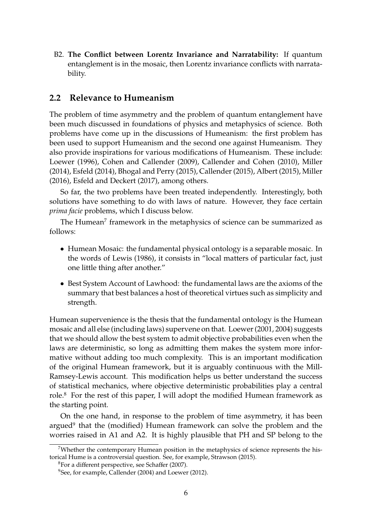B2. **The Conflict between Lorentz Invariance and Narratability:** If quantum entanglement is in the mosaic, then Lorentz invariance conflicts with narratability.

### **2.2 Relevance to Humeanism**

The problem of time asymmetry and the problem of quantum entanglement have been much discussed in foundations of physics and metaphysics of science. Both problems have come up in the discussions of Humeanism: the first problem has been used to support Humeanism and the second one against Humeanism. They also provide inspirations for various modifications of Humeanism. These include: Loewer (1996), Cohen and Callender (2009), Callender and Cohen (2010), Miller (2014), Esfeld (2014), Bhogal and Perry (2015), Callender (2015), Albert (2015), Miller (2016), Esfeld and Deckert (2017), among others.

So far, the two problems have been treated independently. Interestingly, both solutions have something to do with laws of nature. However, they face certain *prima facie* problems, which I discuss below.

The Humean<sup>7</sup> framework in the metaphysics of science can be summarized as follows:

- Humean Mosaic: the fundamental physical ontology is a separable mosaic. In the words of Lewis (1986), it consists in "local matters of particular fact, just one little thing after another."
- Best System Account of Lawhood: the fundamental laws are the axioms of the summary that best balances a host of theoretical virtues such as simplicity and strength.

Humean supervenience is the thesis that the fundamental ontology is the Humean mosaic and all else (including laws) supervene on that. Loewer (2001, 2004) suggests that we should allow the best system to admit objective probabilities even when the laws are deterministic, so long as admitting them makes the system more informative without adding too much complexity. This is an important modification of the original Humean framework, but it is arguably continuous with the Mill-Ramsey-Lewis account. This modification helps us better understand the success of statistical mechanics, where objective deterministic probabilities play a central role.<sup>8</sup> For the rest of this paper, I will adopt the modified Humean framework as the starting point.

On the one hand, in response to the problem of time asymmetry, it has been argued<sup>9</sup> that the (modified) Humean framework can solve the problem and the worries raised in A1 and A2. It is highly plausible that PH and SP belong to the

<sup>7</sup>Whether the contemporary Humean position in the metaphysics of science represents the historical Hume is a controversial question. See, for example, Strawson (2015).

 ${}^{8}$ For a different perspective, see Schaffer (2007).

<sup>&</sup>lt;sup>9</sup>See, for example, Callender (2004) and Loewer (2012).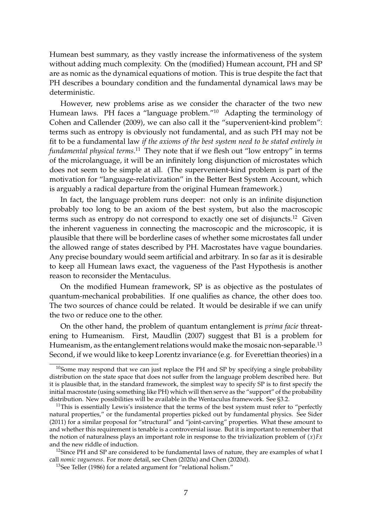Humean best summary, as they vastly increase the informativeness of the system without adding much complexity. On the (modified) Humean account, PH and SP are as nomic as the dynamical equations of motion. This is true despite the fact that PH describes a boundary condition and the fundamental dynamical laws may be deterministic.

However, new problems arise as we consider the character of the two new Humean laws. PH faces a "language problem."<sup>10</sup> Adapting the terminology of Cohen and Callender (2009), we can also call it the "supervenient-kind problem": terms such as entropy is obviously not fundamental, and as such PH may not be fit to be a fundamental law *if the axioms of the best system need to be stated entirely in fundamental physical terms*. <sup>11</sup> They note that if we flesh out "low entropy" in terms of the microlanguage, it will be an infinitely long disjunction of microstates which does not seem to be simple at all. (The supervenient-kind problem is part of the motivation for "language-relativization" in the Better Best System Account, which is arguably a radical departure from the original Humean framework.)

In fact, the language problem runs deeper: not only is an infinite disjunction probably too long to be an axiom of the best system, but also the macroscopic terms such as entropy do not correspond to exactly one set of disjuncts.<sup>12</sup> Given the inherent vagueness in connecting the macroscopic and the microscopic, it is plausible that there will be borderline cases of whether some microstates fall under the allowed range of states described by PH. Macrostates have vague boundaries. Any precise boundary would seem artificial and arbitrary. In so far as it is desirable to keep all Humean laws exact, the vagueness of the Past Hypothesis is another reason to reconsider the Mentaculus.

On the modified Humean framework, SP is as objective as the postulates of quantum-mechanical probabilities. If one qualifies as chance, the other does too. The two sources of chance could be related. It would be desirable if we can unify the two or reduce one to the other.

On the other hand, the problem of quantum entanglement is *prima facie* threatening to Humeanism. First, Maudlin (2007) suggest that B1 is a problem for Humeanism, as the entanglement relations would make the mosaic non-separable.<sup>13</sup> Second, if we would like to keep Lorentz invariance (e.g. for Everettian theories) in a

 $10$ Some may respond that we can just replace the PH and SP by specifying a single probability distribution on the state space that does not suffer from the language problem described here. But it is plausible that, in the standard framework, the simplest way to specify SP is to first specify the initial macrostate (using something like PH) which will then serve as the "support" of the probability distribution. New possibilities will be available in the Wentaculus framework. See §3.2.

 $11$ This is essentially Lewis's insistence that the terms of the best system must refer to "perfectly natural properties," or the fundamental properties picked out by fundamental physics. See Sider (2011) for a similar proposal for "structural" and "joint-carving" properties. What these amount to and whether this requirement is tenable is a controversial issue. But it is important to remember that the notion of naturalness plays an important role in response to the trivialization problem of (*x*)*Fx* and the new riddle of induction.

 $12$ Since PH and SP are considered to be fundamental laws of nature, they are examples of what I call *nomic vagueness*. For more detail, see Chen (2020a) and Chen (2020d).

<sup>&</sup>lt;sup>13</sup>See Teller (1986) for a related argument for "relational holism."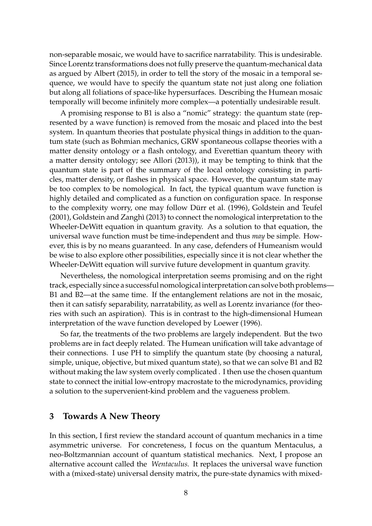non-separable mosaic, we would have to sacrifice narratability. This is undesirable. Since Lorentz transformations does not fully preserve the quantum-mechanical data as argued by Albert (2015), in order to tell the story of the mosaic in a temporal sequence, we would have to specify the quantum state not just along one foliation but along all foliations of space-like hypersurfaces. Describing the Humean mosaic temporally will become infinitely more complex—a potentially undesirable result.

A promising response to B1 is also a "nomic" strategy: the quantum state (represented by a wave function) is removed from the mosaic and placed into the best system. In quantum theories that postulate physical things in addition to the quantum state (such as Bohmian mechanics, GRW spontaneous collapse theories with a matter density ontology or a flash ontology, and Everettian quantum theory with a matter density ontology; see Allori (2013)), it may be tempting to think that the quantum state is part of the summary of the local ontology consisting in particles, matter density, or flashes in physical space. However, the quantum state may be too complex to be nomological. In fact, the typical quantum wave function is highly detailed and complicated as a function on configuration space. In response to the complexity worry, one may follow Dürr et al. (1996), Goldstein and Teufel (2001), Goldstein and Zanghì (2013) to connect the nomological interpretation to the Wheeler-DeWitt equation in quantum gravity. As a solution to that equation, the universal wave function must be time-independent and thus *may* be simple. However, this is by no means guaranteed. In any case, defenders of Humeanism would be wise to also explore other possibilities, especially since it is not clear whether the Wheeler-DeWitt equation will survive future development in quantum gravity.

Nevertheless, the nomological interpretation seems promising and on the right track, especially since a successful nomological interpretation can solve both problems— B1 and B2—at the same time. If the entanglement relations are not in the mosaic, then it can satisfy separability, narratability, as well as Lorentz invariance (for theories with such an aspiration). This is in contrast to the high-dimensional Humean interpretation of the wave function developed by Loewer (1996).

So far, the treatments of the two problems are largely independent. But the two problems are in fact deeply related. The Humean unification will take advantage of their connections. I use PH to simplify the quantum state (by choosing a natural, simple, unique, objective, but mixed quantum state), so that we can solve B1 and B2 without making the law system overly complicated . I then use the chosen quantum state to connect the initial low-entropy macrostate to the microdynamics, providing a solution to the supervenient-kind problem and the vagueness problem.

#### **3 Towards A New Theory**

In this section, I first review the standard account of quantum mechanics in a time asymmetric universe. For concreteness, I focus on the quantum Mentaculus, a neo-Boltzmannian account of quantum statistical mechanics. Next, I propose an alternative account called the *Wentaculus.* It replaces the universal wave function with a (mixed-state) universal density matrix, the pure-state dynamics with mixed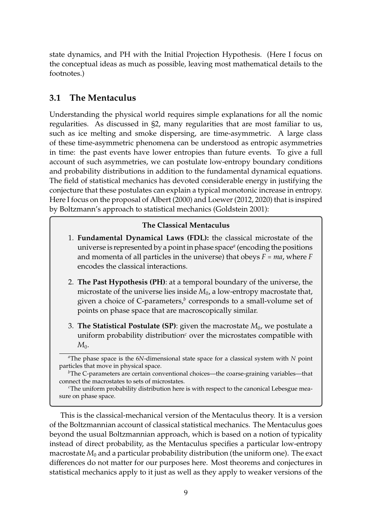state dynamics, and PH with the Initial Projection Hypothesis. (Here I focus on the conceptual ideas as much as possible, leaving most mathematical details to the footnotes.)

## **3.1 The Mentaculus**

Understanding the physical world requires simple explanations for all the nomic regularities. As discussed in §2, many regularities that are most familiar to us, such as ice melting and smoke dispersing, are time-asymmetric. A large class of these time-asymmetric phenomena can be understood as entropic asymmetries in time: the past events have lower entropies than future events. To give a full account of such asymmetries, we can postulate low-entropy boundary conditions and probability distributions in addition to the fundamental dynamical equations. The field of statistical mechanics has devoted considerable energy in justifying the conjecture that these postulates can explain a typical monotonic increase in entropy. Here I focus on the proposal of Albert (2000) and Loewer (2012, 2020) that is inspired by Boltzmann's approach to statistical mechanics (Goldstein 2001):

### **The Classical Mentaculus**

- 1. **Fundamental Dynamical Laws (FDL):** the classical microstate of the universe is represented by a point in phase space*<sup>a</sup>* (encoding the positions and momenta of all particles in the universe) that obeys *F* = *ma*, where *F* encodes the classical interactions.
- 2. **The Past Hypothesis (PH)**: at a temporal boundary of the universe, the microstate of the universe lies inside  $M_0$ , a low-entropy macrostate that, given a choice of C-parameters,*<sup>b</sup>* corresponds to a small-volume set of points on phase space that are macroscopically similar.
- 3. **The Statistical Postulate (SP)**: given the macrostate *M*0, we postulate a uniform probability distribution*<sup>c</sup>* over the microstates compatible with  $M_0$ .

This is the classical-mechanical version of the Mentaculus theory. It is a version of the Boltzmannian account of classical statistical mechanics. The Mentaculus goes beyond the usual Boltzmannian approach, which is based on a notion of typicality instead of direct probability, as the Mentaculus specifies a particular low-entropy macrostate  $M_0$  and a particular probability distribution (the uniform one). The exact differences do not matter for our purposes here. Most theorems and conjectures in statistical mechanics apply to it just as well as they apply to weaker versions of the

*<sup>a</sup>*The phase space is the 6*N*-dimensional state space for a classical system with *N* point particles that move in physical space.

<sup>&</sup>lt;sup>*b*The C-parameters are certain conventional choices—the coarse-graining variables—that</sup> connect the macrostates to sets of microstates.

*<sup>c</sup>*The uniform probability distribution here is with respect to the canonical Lebesgue measure on phase space.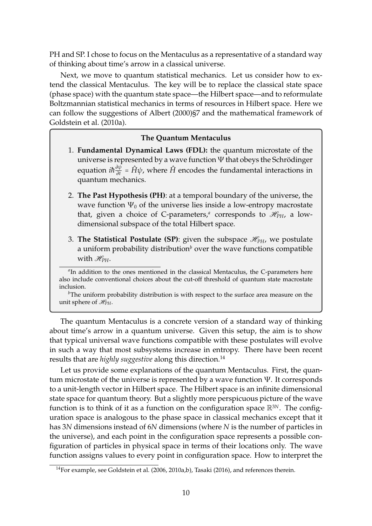PH and SP. I chose to focus on the Mentaculus as a representative of a standard way of thinking about time's arrow in a classical universe.

Next, we move to quantum statistical mechanics. Let us consider how to extend the classical Mentaculus. The key will be to replace the classical state space (phase space) with the quantum state space—the Hilbert space—and to reformulate Boltzmannian statistical mechanics in terms of resources in Hilbert space. Here we can follow the suggestions of Albert (2000)§7 and the mathematical framework of Goldstein et al. (2010a).

#### **The Quantum Mentaculus**

- 1. **Fundamental Dynamical Laws (FDL):** the quantum microstate of the universe is represented by a wave function  $\Psi$  that obeys the Schrödinger **equation** *iħ*<sup>∂ψ</sup>  $\frac{\partial \psi}{\partial t}$  =  $\hat{H}\psi$ , where  $\hat{H}$  encodes the fundamental interactions in quantum mechanics.
- 2. **The Past Hypothesis (PH)**: at a temporal boundary of the universe, the wave function  $\Psi_0$  of the universe lies inside a low-entropy macrostate that, given a choice of C-parameters,<sup>a</sup> corresponds to  $\mathcal{H}_{PH}$ , a lowdimensional subspace of the total Hilbert space.
- 3. **The Statistical Postulate (SP)**: given the subspace  $\mathcal{H}_{PH}$ , we postulate a uniform probability distribution*<sup>b</sup>* over the wave functions compatible with  $\mathcal{H}_{PH}$ .

<sup>a</sup>In addition to the ones mentioned in the classical Mentaculus, the C-parameters here also include conventional choices about the cut-off threshold of quantum state macrostate inclusion.

<sup>b</sup>The uniform probability distribution is with respect to the surface area measure on the unit sphere of  $\mathcal{H}_{PH}$ .

The quantum Mentaculus is a concrete version of a standard way of thinking about time's arrow in a quantum universe. Given this setup, the aim is to show that typical universal wave functions compatible with these postulates will evolve in such a way that most subsystems increase in entropy. There have been recent results that are *highly suggestive* along this direction.<sup>14</sup>

Let us provide some explanations of the quantum Mentaculus. First, the quantum microstate of the universe is represented by a wave function Ψ. It corresponds to a unit-length vector in Hilbert space. The Hilbert space is an infinite dimensional state space for quantum theory. But a slightly more perspicuous picture of the wave function is to think of it as a function on the configuration space  $\mathbb{R}^{3N}$ . The configuration space is analogous to the phase space in classical mechanics except that it has 3*N* dimensions instead of 6*N* dimensions (where *N* is the number of particles in the universe), and each point in the configuration space represents a possible configuration of particles in physical space in terms of their locations only. The wave function assigns values to every point in configuration space. How to interpret the

 $14$ For example, see Goldstein et al. (2006, 2010a,b), Tasaki (2016), and references therein.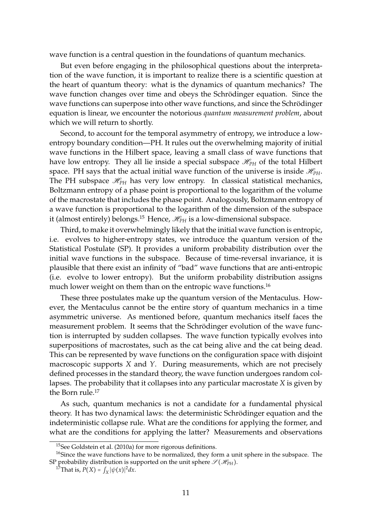wave function is a central question in the foundations of quantum mechanics.

But even before engaging in the philosophical questions about the interpretation of the wave function, it is important to realize there is a scientific question at the heart of quantum theory: what is the dynamics of quantum mechanics? The wave function changes over time and obeys the Schrödinger equation. Since the wave functions can superpose into other wave functions, and since the Schrödinger equation is linear, we encounter the notorious *quantum measurement problem*, about which we will return to shortly.

Second, to account for the temporal asymmetry of entropy, we introduce a lowentropy boundary condition—PH. It rules out the overwhelming majority of initial wave functions in the Hilbert space, leaving a small class of wave functions that have low entropy. They all lie inside a special subspace  $\mathcal{H}_{PH}$  of the total Hilbert space. PH says that the actual initial wave function of the universe is inside  $\mathcal{H}_{PH}$ . The PH subspace  $\mathcal{H}_{PH}$  has very low entropy. In classical statistical mechanics, Boltzmann entropy of a phase point is proportional to the logarithm of the volume of the macrostate that includes the phase point. Analogously, Boltzmann entropy of a wave function is proportional to the logarithm of the dimension of the subspace it (almost entirely) belongs.<sup>15</sup> Hence,  $\mathcal{H}_{PH}$  is a low-dimensional subspace.

Third, to make it overwhelmingly likely that the initial wave function is entropic, i.e. evolves to higher-entropy states, we introduce the quantum version of the Statistical Postulate (SP). It provides a uniform probability distribution over the initial wave functions in the subspace. Because of time-reversal invariance, it is plausible that there exist an infinity of "bad" wave functions that are anti-entropic (i.e. evolve to lower entropy). But the uniform probability distribution assigns much lower weight on them than on the entropic wave functions.<sup>16</sup>

These three postulates make up the quantum version of the Mentaculus. However, the Mentaculus cannot be the entire story of quantum mechanics in a time asymmetric universe. As mentioned before, quantum mechanics itself faces the measurement problem. It seems that the Schrödinger evolution of the wave function is interrupted by sudden collapses. The wave function typically evolves into superpositions of macrostates, such as the cat being alive and the cat being dead. This can be represented by wave functions on the configuration space with disjoint macroscopic supports *X* and *Y*. During measurements, which are not precisely defined processes in the standard theory, the wave function undergoes random collapses. The probability that it collapses into any particular macrostate *X* is given by the Born rule.<sup>17</sup>

As such, quantum mechanics is not a candidate for a fundamental physical theory. It has two dynamical laws: the deterministic Schrödinger equation and the indeterministic collapse rule. What are the conditions for applying the former, and what are the conditions for applying the latter? Measurements and observations

<sup>&</sup>lt;sup>15</sup>See Goldstein et al. (2010a) for more rigorous definitions.

<sup>&</sup>lt;sup>16</sup>Since the wave functions have to be normalized, they form a unit sphere in the subspace. The SP probability distribution is supported on the unit sphere  $\mathcal{S}(\mathcal{H}_{PH})$ .

<sup>&</sup>lt;sup>17</sup>That is,  $P(X) = \int_X |\psi(x)|^2 dx$ .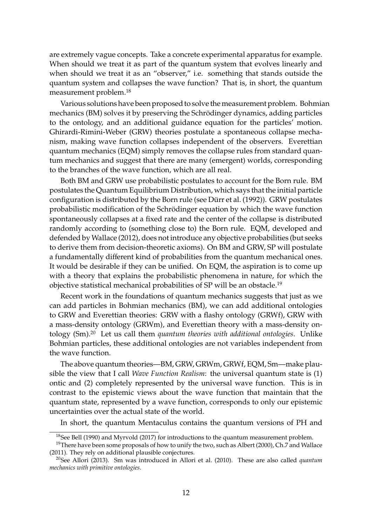are extremely vague concepts. Take a concrete experimental apparatus for example. When should we treat it as part of the quantum system that evolves linearly and when should we treat it as an "observer," i.e. something that stands outside the quantum system and collapses the wave function? That is, in short, the quantum measurement problem.<sup>18</sup>

Various solutions have been proposed to solve the measurement problem. Bohmian mechanics (BM) solves it by preserving the Schrödinger dynamics, adding particles to the ontology, and an additional guidance equation for the particles' motion. Ghirardi-Rimini-Weber (GRW) theories postulate a spontaneous collapse mechanism, making wave function collapses independent of the observers. Everettian quantum mechanics (EQM) simply removes the collapse rules from standard quantum mechanics and suggest that there are many (emergent) worlds, corresponding to the branches of the wave function, which are all real.

Both BM and GRW use probabilistic postulates to account for the Born rule. BM postulates the Quantum Equilibrium Distribution, which says that the initial particle configuration is distributed by the Born rule (see Dürr et al. (1992)). GRW postulates probabilistic modification of the Schrödinger equation by which the wave function spontaneously collapses at a fixed rate and the center of the collapse is distributed randomly according to (something close to) the Born rule. EQM, developed and defended by Wallace (2012), does not introduce any objective probabilities (but seeks to derive them from decision-theoretic axioms). On BM and GRW, SP will postulate a fundamentally different kind of probabilities from the quantum mechanical ones. It would be desirable if they can be unified. On EQM, the aspiration is to come up with a theory that explains the probabilistic phenomena in nature, for which the objective statistical mechanical probabilities of SP will be an obstacle.<sup>19</sup>

Recent work in the foundations of quantum mechanics suggests that just as we can add particles in Bohmian mechanics (BM), we can add additional ontologies to GRW and Everettian theories: GRW with a flashy ontology (GRWf), GRW with a mass-density ontology (GRWm), and Everettian theory with a mass-density ontology (Sm).<sup>20</sup> Let us call them *quantum theories with additional ontologies*. Unlike Bohmian particles, these additional ontologies are not variables independent from the wave function.

The above quantum theories—BM, GRW, GRWm, GRWf, EQM, Sm—make plausible the view that I call *Wave Function Realism*: the universal quantum state is (1) ontic and (2) completely represented by the universal wave function. This is in contrast to the epistemic views about the wave function that maintain that the quantum state, represented by a wave function, corresponds to only our epistemic uncertainties over the actual state of the world.

In short, the quantum Mentaculus contains the quantum versions of PH and

<sup>&</sup>lt;sup>18</sup>See Bell (1990) and Myrvold (2017) for introductions to the quantum measurement problem.

<sup>&</sup>lt;sup>19</sup>There have been some proposals of how to unify the two, such as Albert (2000), Ch.7 and Wallace (2011). They rely on additional plausible conjectures.

<sup>20</sup>See Allori (2013). Sm was introduced in Allori et al. (2010). These are also called *quantum mechanics with primitive ontologies*.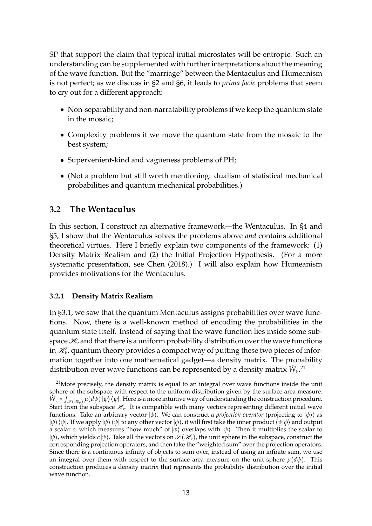SP that support the claim that typical initial microstates will be entropic. Such an understanding can be supplemented with further interpretations about the meaning of the wave function. But the "marriage" between the Mentaculus and Humeanism is not perfect; as we discuss in §2 and §6, it leads to *prima facie* problems that seem to cry out for a different approach:

- Non-separability and non-narratability problems if we keep the quantum state in the mosaic;
- Complexity problems if we move the quantum state from the mosaic to the best system;
- Supervenient-kind and vagueness problems of PH;
- (Not a problem but still worth mentioning: dualism of statistical mechanical probabilities and quantum mechanical probabilities.)

## **3.2 The Wentaculus**

In this section, I construct an alternative framework—the Wentaculus. In §4 and §5, I show that the Wentaculus solves the problems above *and* contains additional theoretical virtues. Here I briefly explain two components of the framework: (1) Density Matrix Realism and (2) the Initial Projection Hypothesis. (For a more systematic presentation, see Chen (2018).) I will also explain how Humeanism provides motivations for the Wentaculus.

### **3.2.1 Density Matrix Realism**

In §3.1, we saw that the quantum Mentaculus assigns probabilities over wave functions. Now, there is a well-known method of encoding the probabilities in the quantum state itself. Instead of saying that the wave function lies inside some subspace  $\mathcal{H}_{\nu}$  and that there is a uniform probability distribution over the wave functions in  $\mathcal{H}_{\nu}$ , quantum theory provides a compact way of putting these two pieces of information together into one mathematical gadget—a density matrix. The probability distribution over wave functions can be represented by a density matrix  $\hat{W}_{\nu}$ .<sup>21</sup>

 $21$ More precisely, the density matrix is equal to an integral over wave functions inside the unit sphere of the subspace with respect to the uniform distribution given by the surface area measure:  $\hat{W}_\nu$  =  $\int_{\mathscr{S}(\mathscr{H}_\nu)}\mu(d\psi)\ket{\psi} \bra{\psi}$  . Here is a more intuitive way of understanding the construction procedure. Start from the subspace  $\mathcal{H}_{\nu}$ . It is compatible with many vectors representing different initial wave functions. Take an arbitrary vector ∣ψ⟩. We can construct a *projection operator* (projecting to ∣ψ⟩) as  $|\psi\rangle\langle\psi|$ . If we apply  $|\psi\rangle\langle\psi|$  to any other vector  $|\phi\rangle$ , it will first take the inner product  $\langle\psi|\phi\rangle$  and output a scalar *c*, which measures "how much" of  $|\phi\rangle$  overlaps with  $|\psi\rangle$ . Then it multiplies the scalar to  $|\psi\rangle$ , which yields  $c|\psi\rangle$ . Take all the vectors on  $\mathscr{S}(\mathscr{H}_v)$ , the unit sphere in the subspace, construct the corresponding projection operators, and then take the "weighted sum" over the projection operators. Since there is a continuous infinity of objects to sum over, instead of using an infinite sum, we use an integral over them with respect to the surface area measure on the unit sphere  $\mu(d\psi)$ . This construction produces a density matrix that represents the probability distribution over the initial wave function.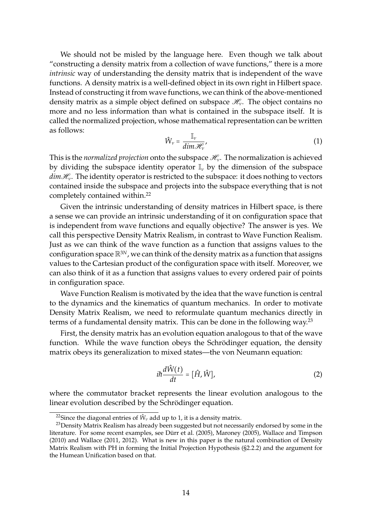We should not be misled by the language here. Even though we talk about "constructing a density matrix from a collection of wave functions," there is a more *intrinsic* way of understanding the density matrix that is independent of the wave functions. A density matrix is a well-defined object in its own right in Hilbert space. Instead of constructing it from wave functions, we can think of the above-mentioned density matrix as a simple object defined on subspace  $\mathcal{H}_{\nu}$ . The object contains no more and no less information than what is contained in the subspace itself. It is called the normalized projection, whose mathematical representation can be written as follows:

$$
\hat{W}_{\nu} = \frac{\mathbb{I}_{\nu}}{dim\mathcal{H}_{\nu}},\tag{1}
$$

This is the *normalized projection* onto the subspace  $\mathcal{H}_{\nu}$ . The normalization is achieved by dividing the subspace identity operator  $\mathbb{I}_{\nu}$  by the dimension of the subspace  $dim\mathcal{H}_v$ . The identity operator is restricted to the subspace: it does nothing to vectors contained inside the subspace and projects into the subspace everything that is not completely contained within.<sup>22</sup>

Given the intrinsic understanding of density matrices in Hilbert space, is there a sense we can provide an intrinsic understanding of it on configuration space that is independent from wave functions and equally objective? The answer is yes. We call this perspective Density Matrix Realism, in contrast to Wave Function Realism. Just as we can think of the wave function as a function that assigns values to the configuration space  $\mathbb{R}^{3N}$ , we can think of the density matrix as a function that assigns values to the Cartesian product of the configuration space with itself. Moreover, we can also think of it as a function that assigns values to every ordered pair of points in configuration space.

Wave Function Realism is motivated by the idea that the wave function is central to the dynamics and the kinematics of quantum mechanics. In order to motivate Density Matrix Realism, we need to reformulate quantum mechanics directly in terms of a fundamental density matrix. This can be done in the following way.<sup>23</sup>

First, the density matrix has an evolution equation analogous to that of the wave function. While the wave function obeys the Schrödinger equation, the density matrix obeys its generalization to mixed states—the von Neumann equation:

$$
i\hbar \frac{d\hat{W}(t)}{dt} = [\hat{H}, \hat{W}], \qquad (2)
$$

where the commutator bracket represents the linear evolution analogous to the linear evolution described by the Schrödinger equation.

<sup>&</sup>lt;sup>22</sup>Since the diagonal entries of  $\hat{W}_v$  add up to 1, it is a density matrix.

<sup>&</sup>lt;sup>23</sup> Density Matrix Realism has already been suggested but not necessarily endorsed by some in the literature. For some recent examples, see Dürr et al. (2005), Maroney (2005), Wallace and Timpson (2010) and Wallace (2011, 2012). What is new in this paper is the natural combination of Density Matrix Realism with PH in forming the Initial Projection Hypothesis (§2.2.2) and the argument for the Humean Unification based on that.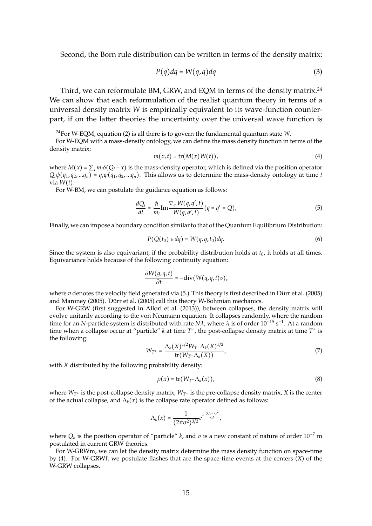Second, the Born rule distribution can be written in terms of the density matrix:

$$
P(q)dq = W(q,q)dq
$$
\n(3)

Third, we can reformulate BM, GRW, and EQM in terms of the density matrix.<sup>24</sup> We can show that each reformulation of the realist quantum theory in terms of a universal density matrix *W* is empirically equivalent to its wave-function counterpart, if on the latter theories the uncertainty over the universal wave function is

$$
m(x,t) = \text{tr}(M(x)W(t)),\tag{4}
$$

where  $M(x) = \sum_i m_i \delta(Q_i - x)$  is the mass-density operator, which is defined via the position operator  $Q_i\psi(q_1, q_2, \ldots, q_n) = q_i\psi(q_1, q_2, \ldots, q_n)$ . This allows us to determine the mass-density ontology at time *t* via *W*(*t*).

For W-BM, we can postulate the guidance equation as follows:

$$
\frac{dQ_i}{dt} = \frac{\hbar}{m_i} \text{Im} \frac{\nabla_{q_i} W(q, q', t)}{W(q, q', t)} (q = q' = Q),\tag{5}
$$

Finally, we can impose a boundary condition similar to that of the Quantum Equilibrium Distribution:

$$
P(Q(t_0) \in dq) = W(q, q, t_0) dq.
$$
 (6)

Since the system is also equivariant, if the probability distribution holds at  $t_0$ , it holds at all times. Equivariance holds because of the following continuity equation:

$$
\frac{\partial W(q,q,t)}{\partial t}=-\text{div}\big(W(q,q,t)v\big),
$$

where *v* denotes the velocity field generated via (5.) This theory is first described in Dürr et al. (2005) and Maroney (2005). Dürr et al. (2005) call this theory W-Bohmian mechanics.

For W-GRW (first suggested in Allori et al. (2013)), between collapses, the density matrix will evolve unitarily according to the von Neumann equation. It collapses randomly, where the random time for an *N*-particle system is distributed with rate *NA,* where  $\overline{\lambda}$  is of order 10<sup>−15</sup> s<sup>−1</sup>. At a random time when a collapse occur at "particle" *k* at time *T*<sup>−</sup>, the post-collapse density matrix at time *T*<sup>+</sup> is the following:

$$
W_{T^{+}} = \frac{\Lambda_{k}(X)^{1/2}W_{T^{-}}\Lambda_{k}(X)^{1/2}}{\operatorname{tr}(W_{T^{-}}\Lambda_{k}(X))},
$$
\n(7)

with *X* distributed by the following probability density:

$$
\rho(x) = \text{tr}(W_{T-}\Lambda_k(x)),\tag{8}
$$

where *WT*<sup>+</sup> is the post-collapse density matrix, *WT*<sup>−</sup> is the pre-collapse density matrix, *X* is the center of the actual collapse, and  $\Lambda_k(x)$  is the collapse rate operator defined as follows:

$$
\Lambda_k(x) = \frac{1}{(2\pi\sigma^2)^{3/2}}e^{-\frac{(Q_k-x)^2}{2\sigma^2}},
$$

where *Q<sup>k</sup>* is the position operator of "particle" *k*, and σ is a new constant of nature of order 10<sup>−</sup><sup>7</sup> m postulated in current GRW theories.

For W-GRWm, we can let the density matrix determine the mass density function on space-time by (4). For W-GRWf, we postulate flashes that are the space-time events at the centers (*X*) of the W-GRW collapses.

<sup>24</sup>For W-EQM, equation (2) is all there is to govern the fundamental quantum state *W*.

For W-EQM with a mass-density ontology, we can define the mass density function in terms of the density matrix: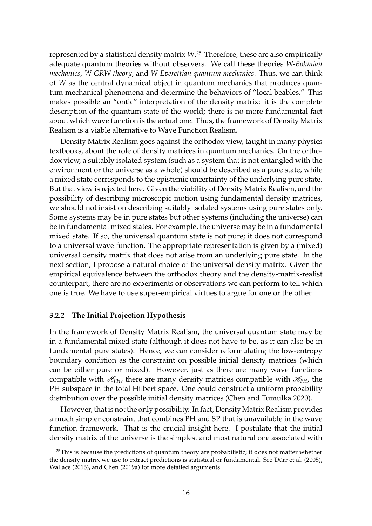represented by a statistical density matrix *W*. <sup>25</sup> Therefore, these are also empirically adequate quantum theories without observers. We call these theories *W-Bohmian mechanics, W-GRW theory*, and *W-Everettian quantum mechanics*. Thus, we can think of *W* as the central dynamical object in quantum mechanics that produces quantum mechanical phenomena and determine the behaviors of "local beables." This makes possible an "ontic" interpretation of the density matrix: it is the complete description of the quantum state of the world; there is no more fundamental fact about which wave function is the actual one. Thus, the framework of Density Matrix Realism is a viable alternative to Wave Function Realism.

Density Matrix Realism goes against the orthodox view, taught in many physics textbooks, about the role of density matrices in quantum mechanics. On the orthodox view, a suitably isolated system (such as a system that is not entangled with the environment or the universe as a whole) should be described as a pure state, while a mixed state corresponds to the epistemic uncertainty of the underlying pure state. But that view is rejected here. Given the viability of Density Matrix Realism, and the possibility of describing microscopic motion using fundamental density matrices, we should not insist on describing suitably isolated systems using pure states only. Some systems may be in pure states but other systems (including the universe) can be in fundamental mixed states. For example, the universe may be in a fundamental mixed state. If so, the universal quantum state is not pure; it does not correspond to a universal wave function. The appropriate representation is given by a (mixed) universal density matrix that does not arise from an underlying pure state. In the next section, I propose a natural choice of the universal density matrix. Given the empirical equivalence between the orthodox theory and the density-matrix-realist counterpart, there are no experiments or observations we can perform to tell which one is true. We have to use super-empirical virtues to argue for one or the other.

#### **3.2.2 The Initial Projection Hypothesis**

In the framework of Density Matrix Realism, the universal quantum state may be in a fundamental mixed state (although it does not have to be, as it can also be in fundamental pure states). Hence, we can consider reformulating the low-entropy boundary condition as the constraint on possible initial density matrices (which can be either pure or mixed). However, just as there are many wave functions compatible with  $\mathcal{H}_{PH}$ , there are many density matrices compatible with  $\mathcal{H}_{PH}$ , the PH subspace in the total Hilbert space. One could construct a uniform probability distribution over the possible initial density matrices (Chen and Tumulka 2020).

However, that is not the only possibility. In fact, Density Matrix Realism provides a much simpler constraint that combines PH and SP that is unavailable in the wave function framework. That is the crucial insight here. I postulate that the initial density matrix of the universe is the simplest and most natural one associated with

 $25$ This is because the predictions of quantum theory are probabilistic; it does not matter whether the density matrix we use to extract predictions is statistical or fundamental. See Dürr et al. (2005), Wallace (2016), and Chen (2019a) for more detailed arguments.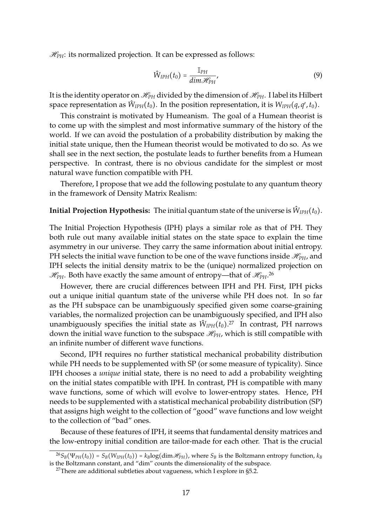$\mathcal{H}_{PH}$ : its normalized projection. It can be expressed as follows:

$$
\hat{W}_{IPH}(t_0) = \frac{\mathbb{I}_{PH}}{dim\mathcal{H}_{PH}},
$$
\n(9)

It is the identity operator on  $\mathcal{H}_{PH}$  divided by the dimension of  $\mathcal{H}_{PH}$ . I label its Hilbert space representation as  $\hat{W}_{IPH}(t_0).$  In the position representation, it is  $W_{IPH}(q,q',t_0).$ 

This constraint is motivated by Humeanism. The goal of a Humean theorist is to come up with the simplest and most informative summary of the history of the world. If we can avoid the postulation of a probability distribution by making the initial state unique, then the Humean theorist would be motivated to do so. As we shall see in the next section, the postulate leads to further benefits from a Humean perspective. In contrast, there is no obvious candidate for the simplest or most natural wave function compatible with PH.

Therefore, I propose that we add the following postulate to any quantum theory in the framework of Density Matrix Realism:

### ${\bf I}$ nitial  ${\bf Projection~Hypothesis:}$  The initial quantum state of the universe is  $\hat{W}_{IPH}(t_0).$

The Initial Projection Hypothesis (IPH) plays a similar role as that of PH. They both rule out many available initial states on the state space to explain the time asymmetry in our universe. They carry the same information about initial entropy. PH selects the initial wave function to be one of the wave functions inside  $\mathcal{H}_{PH}$ , and IPH selects the initial density matrix to be the (unique) normalized projection on  $\mathscr{H}_{\!P\!H}$ . Both have exactly the same amount of entropy—that of  $\mathscr{H}_{\!P\!H}$ .<sup>26</sup>

However, there are crucial differences between IPH and PH. First, IPH picks out a unique initial quantum state of the universe while PH does not. In so far as the PH subspace can be unambiguously specified given some coarse-graining variables, the normalized projection can be unambiguously specified, and IPH also unambiguously specifies the initial state as  $\hat{W}_{IPH}(t_0).^{27}$  In contrast, PH narrows down the initial wave function to the subspace  $\mathcal{H}_{PH}$ , which is still compatible with an infinite number of different wave functions.

Second, IPH requires no further statistical mechanical probability distribution while PH needs to be supplemented with SP (or some measure of typicality). Since IPH chooses a *unique* initial state, there is no need to add a probability weighting on the initial states compatible with IPH. In contrast, PH is compatible with many wave functions, some of which will evolve to lower-entropy states. Hence, PH needs to be supplemented with a statistical mechanical probability distribution (SP) that assigns high weight to the collection of "good" wave functions and low weight to the collection of "bad" ones.

Because of these features of IPH, it seems that fundamental density matrices and the low-entropy initial condition are tailor-made for each other. That is the crucial

 ${}^{26}S_B(\Psi_{PH}(t_0)) = S_B(W_{IPH}(t_0)) = k_B \log(\text{dim}\mathcal{H}_{PH})$ , where  $S_B$  is the Boltzmann entropy function,  $k_B$ is the Boltzmann constant, and "dim" counts the dimensionality of the subspace.

<sup>&</sup>lt;sup>27</sup>There are additional subtleties about vagueness, which I explore in  $\S 5.2$ .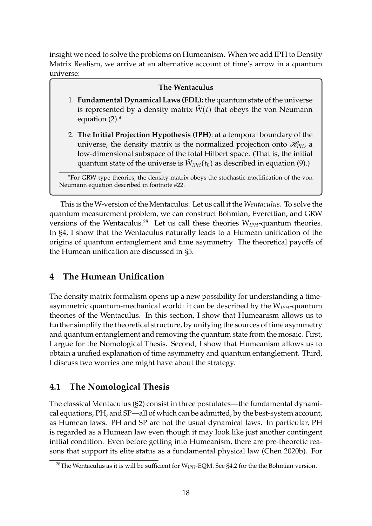insight we need to solve the problems on Humeanism. When we add IPH to Density Matrix Realism, we arrive at an alternative account of time's arrow in a quantum universe:

#### **The Wentaculus**

- 1. **Fundamental Dynamical Laws (FDL):** the quantum state of the universe is represented by a density matrix  $\hat{W}(t)$  that obeys the von Neumann equation (2).*<sup>a</sup>*
- 2. **The Initial Projection Hypothesis (IPH)**: at a temporal boundary of the universe, the density matrix is the normalized projection onto  $\mathcal{H}_{PH}$ , a low-dimensional subspace of the total Hilbert space. (That is, the initial quantum state of the universe is  $\hat{W}_{IPH}(t_0)$  as described in equation (9).)

<sup>a</sup>For GRW-type theories, the density matrix obeys the stochastic modification of the von Neumann equation described in footnote #22.

This is the W-version of the Mentaculus. Let us call it the *Wentaculus*. To solve the quantum measurement problem, we can construct Bohmian, Everettian, and GRW versions of the Wentaculus.<sup>28</sup> Let us call these theories W*IPH*-quantum theories. In §4, I show that the Wentaculus naturally leads to a Humean unification of the origins of quantum entanglement and time asymmetry. The theoretical payoffs of the Humean unification are discussed in §5.

## **4 The Humean Unification**

The density matrix formalism opens up a new possibility for understanding a timeasymmetric quantum-mechanical world: it can be described by the W*IPH*-quantum theories of the Wentaculus. In this section, I show that Humeanism allows us to further simplify the theoretical structure, by unifying the sources of time asymmetry and quantum entanglement and removing the quantum state from the mosaic. First, I argue for the Nomological Thesis. Second, I show that Humeanism allows us to obtain a unified explanation of time asymmetry and quantum entanglement. Third, I discuss two worries one might have about the strategy.

## **4.1 The Nomological Thesis**

The classical Mentaculus (§2) consist in three postulates—the fundamental dynamical equations, PH, and SP—all of which can be admitted, by the best-system account, as Humean laws. PH and SP are not the usual dynamical laws. In particular, PH is regarded as a Humean law even though it may look like just another contingent initial condition. Even before getting into Humeanism, there are pre-theoretic reasons that support its elite status as a fundamental physical law (Chen 2020b). For

<sup>&</sup>lt;sup>28</sup>The Wentaculus as it is will be sufficient for W<sub>IPH</sub>-EQM. See §4.2 for the the Bohmian version.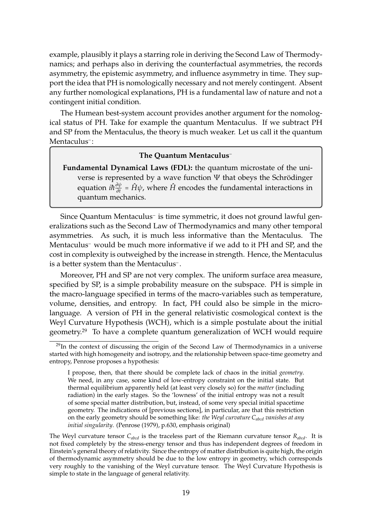example, plausibly it plays a starring role in deriving the Second Law of Thermodynamics; and perhaps also in deriving the counterfactual asymmetries, the records asymmetry, the epistemic asymmetry, and influence asymmetry in time. They support the idea that PH is nomologically necessary and not merely contingent. Absent any further nomological explanations, PH is a fundamental law of nature and not a contingent initial condition.

The Humean best-system account provides another argument for the nomological status of PH. Take for example the quantum Mentaculus. If we subtract PH and SP from the Mentaculus, the theory is much weaker. Let us call it the quantum Mentaculus<sup>−</sup>:

#### **The Quantum Mentaculus**<sup>−</sup>

**Fundamental Dynamical Laws (FDL):** the quantum microstate of the universe is represented by a wave function  $\Psi$  that obeys the Schrödinger **equation** *iħ*<sup>∂ψ</sup>  $\frac{\partial \psi}{\partial t}$  =  $\hat{H}\psi$ , where  $\hat{H}$  encodes the fundamental interactions in quantum mechanics.

Since Quantum Mentaculus<sup>−</sup> is time symmetric, it does not ground lawful generalizations such as the Second Law of Thermodynamics and many other temporal asymmetries. As such, it is much less informative than the Mentaculus. The Mentaculus<sup>−</sup> would be much more informative if we add to it PH and SP, and the cost in complexity is outweighed by the increase in strength. Hence, the Mentaculus is a better system than the Mentaculus<sup>−</sup>.

Moreover, PH and SP are not very complex. The uniform surface area measure, specified by SP, is a simple probability measure on the subspace. PH is simple in the macro-language specified in terms of the macro-variables such as temperature, volume, densities, and entropy. In fact, PH could also be simple in the microlanguage. A version of PH in the general relativistic cosmological context is the Weyl Curvature Hypothesis (WCH), which is a simple postulate about the initial geometry.<sup>29</sup> To have a complete quantum generalization of WCH would require

 $^{29}$ In the context of discussing the origin of the Second Law of Thermodynamics in a universe started with high homogeneity and isotropy, and the relationship between space-time geometry and entropy, Penrose proposes a hypothesis:

I propose, then, that there should be complete lack of chaos in the initial *geometry*. We need, in any case, some kind of low-entropy constraint on the initial state. But thermal equilibrium apparently held (at least very closely so) for the *matter* (including radiation) in the early stages. So the 'lowness' of the initial entropy was not a result of some special matter distribution, but, instead, of some very special initial spacetime geometry. The indications of [previous sections], in particular, are that this restriction on the early geometry should be something like: *the Weyl curvature Cabcd vanishes at any initial singularity*. (Penrose (1979), p.630, emphasis original)

The Weyl curvature tensor *Cabcd* is the traceless part of the Riemann curvature tensor *Rabcd*. It is not fixed completely by the stress-energy tensor and thus has independent degrees of freedom in Einstein's general theory of relativity. Since the entropy of matter distribution is quite high, the origin of thermodynamic asymmetry should be due to the low entropy in geometry, which corresponds very roughly to the vanishing of the Weyl curvature tensor. The Weyl Curvature Hypothesis is simple to state in the language of general relativity.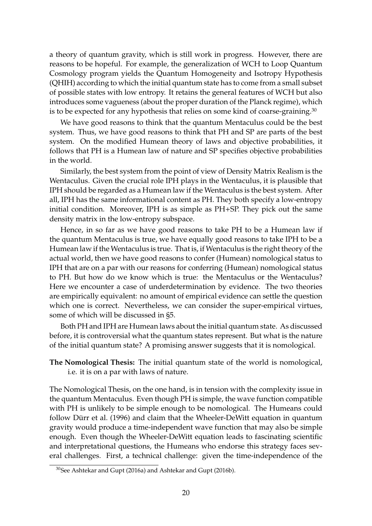a theory of quantum gravity, which is still work in progress. However, there are reasons to be hopeful. For example, the generalization of WCH to Loop Quantum Cosmology program yields the Quantum Homogeneity and Isotropy Hypothesis (QHIH) according to which the initial quantum state has to come from a small subset of possible states with low entropy. It retains the general features of WCH but also introduces some vagueness (about the proper duration of the Planck regime), which is to be expected for any hypothesis that relies on some kind of coarse-graining. $30$ 

We have good reasons to think that the quantum Mentaculus could be the best system. Thus, we have good reasons to think that PH and SP are parts of the best system. On the modified Humean theory of laws and objective probabilities, it follows that PH is a Humean law of nature and SP specifies objective probabilities in the world.

Similarly, the best system from the point of view of Density Matrix Realism is the Wentaculus. Given the crucial role IPH plays in the Wentaculus, it is plausible that IPH should be regarded as a Humean law if the Wentaculus is the best system. After all, IPH has the same informational content as PH. They both specify a low-entropy initial condition. Moreover, IPH is as simple as PH+SP. They pick out the same density matrix in the low-entropy subspace.

Hence, in so far as we have good reasons to take PH to be a Humean law if the quantum Mentaculus is true, we have equally good reasons to take IPH to be a Humean law if the Wentaculus is true. That is, if Wentaculus is the right theory of the actual world, then we have good reasons to confer (Humean) nomological status to IPH that are on a par with our reasons for conferring (Humean) nomological status to PH. But how do we know which is true: the Mentaculus or the Wentaculus? Here we encounter a case of underdetermination by evidence. The two theories are empirically equivalent: no amount of empirical evidence can settle the question which one is correct. Nevertheless, we can consider the super-empirical virtues, some of which will be discussed in §5.

Both PH and IPH are Humean laws about the initial quantum state. As discussed before, it is controversial what the quantum states represent. But what is the nature of the initial quantum state? A promising answer suggests that it is nomological.

**The Nomological Thesis:** The initial quantum state of the world is nomological, i.e. it is on a par with laws of nature.

The Nomological Thesis, on the one hand, is in tension with the complexity issue in the quantum Mentaculus. Even though PH is simple, the wave function compatible with PH is unlikely to be simple enough to be nomological. The Humeans could follow Dürr et al. (1996) and claim that the Wheeler-DeWitt equation in quantum gravity would produce a time-independent wave function that may also be simple enough. Even though the Wheeler-DeWitt equation leads to fascinating scientific and interpretational questions, the Humeans who endorse this strategy faces several challenges. First, a technical challenge: given the time-independence of the

<sup>&</sup>lt;sup>30</sup>See Ashtekar and Gupt (2016a) and Ashtekar and Gupt (2016b).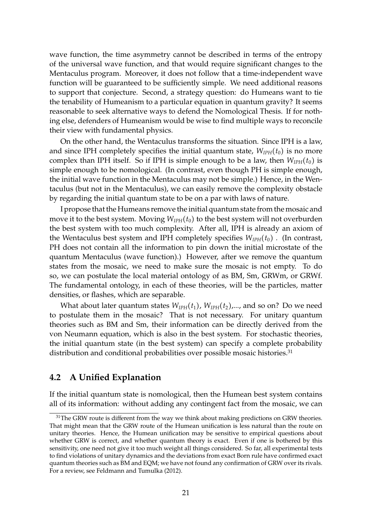wave function, the time asymmetry cannot be described in terms of the entropy of the universal wave function, and that would require significant changes to the Mentaculus program. Moreover, it does not follow that a time-independent wave function will be guaranteed to be sufficiently simple. We need additional reasons to support that conjecture. Second, a strategy question: do Humeans want to tie the tenability of Humeanism to a particular equation in quantum gravity? It seems reasonable to seek alternative ways to defend the Nomological Thesis. If for nothing else, defenders of Humeanism would be wise to find multiple ways to reconcile their view with fundamental physics.

On the other hand, the Wentaculus transforms the situation. Since IPH is a law, and since IPH completely specifies the initial quantum state,  $W_{IPH}(t_0)$  is no more complex than IPH itself. So if IPH is simple enough to be a law, then  $W_{IPH}(t_0)$  is simple enough to be nomological. (In contrast, even though PH is simple enough, the initial wave function in the Mentaculus may not be simple.) Hence, in the Wentaculus (but not in the Mentaculus), we can easily remove the complexity obstacle by regarding the initial quantum state to be on a par with laws of nature.

I propose that the Humeans remove the initial quantum state from the mosaic and move it to the best system. Moving  $W_{IPH}(t_0)$  to the best system will not overburden the best system with too much complexity. After all, IPH is already an axiom of the Wentaculus best system and IPH completely specifies  $W_{IPH}(t_0)$ . (In contrast, PH does not contain all the information to pin down the initial microstate of the quantum Mentaculus (wave function).) However, after we remove the quantum states from the mosaic, we need to make sure the mosaic is not empty. To do so, we can postulate the local material ontology of as BM, Sm, GRWm, or GRWf. The fundamental ontology, in each of these theories, will be the particles, matter densities, or flashes, which are separable.

What about later quantum states  $W_{IPH}(t_1)$ ,  $W_{IPH}(t_2)$ ,..., and so on? Do we need to postulate them in the mosaic? That is not necessary. For unitary quantum theories such as BM and Sm, their information can be directly derived from the von Neumann equation, which is also in the best system. For stochastic theories, the initial quantum state (in the best system) can specify a complete probability distribution and conditional probabilities over possible mosaic histories.<sup>31</sup>

#### **4.2 A Unified Explanation**

If the initial quantum state is nomological, then the Humean best system contains all of its information: without adding any contingent fact from the mosaic, we can

 $31$ The GRW route is different from the way we think about making predictions on GRW theories. That might mean that the GRW route of the Humean unification is less natural than the route on unitary theories. Hence, the Humean unification may be sensitive to empirical questions about whether GRW is correct, and whether quantum theory is exact. Even if one is bothered by this sensitivity, one need not give it too much weight all things considered. So far, all experimental tests to find violations of unitary dynamics and the deviations from exact Born rule have confirmed exact quantum theories such as BM and EQM; we have not found any confirmation of GRW over its rivals. For a review, see Feldmann and Tumulka (2012).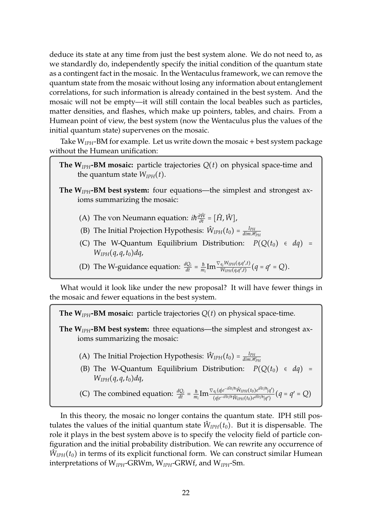deduce its state at any time from just the best system alone. We do not need to, as we standardly do, independently specify the initial condition of the quantum state as a contingent fact in the mosaic. In the Wentaculus framework, we can remove the quantum state from the mosaic without losing any information about entanglement correlations, for such information is already contained in the best system. And the mosaic will not be empty—it will still contain the local beables such as particles, matter densities, and flashes, which make up pointers, tables, and chairs. From a Humean point of view, the best system (now the Wentaculus plus the values of the initial quantum state) supervenes on the mosaic.

Take W*IPH*-BM for example. Let us write down the mosaic + best system package without the Humean unification:

- **The W**<sub>IPH</sub>-BM mosaic: particle trajectories  $Q(t)$  on physical space-time and the quantum state  $W_{IPH}(t)$ .
- **The W<sub>IPH</sub>-BM best system:** four equations—the simplest and strongest axioms summarizing the mosaic:
	- (A) The von Neumann equation:  $i\hbar \frac{\partial \hat{W}}{\partial t}$  $\frac{\partial \hat{W}}{\partial t} = [\hat{H}, \hat{W}],$
	- (B) The Initial Projection Hypothesis:  $\hat{W}_{IPH}(t_0) = \frac{I_{PH}}{dim\mathcal{H}}$ *dim*H*PH*
	- (C) The W-Quantum Equilibrium Distribution:  $P(Q(t_0) \in dq)$  =  $W_{IPH}(q,q,t_0) dq$ ,
	- (D) The W-guidance equation:  $\frac{dQ_i}{dt} = \frac{h}{m}$  $\frac{\hbar}{m_{i}}$ Im $\frac{\nabla_{q_{i}}W_{IPH}(q,q',t)}{W_{IPH}(q,q',t)}$  $\frac{q_i}{W_{IPH}(q,q',t)}(q = q' = Q).$

What would it look like under the new proposal? It will have fewer things in the mosaic and fewer equations in the best system.

**The W**<sub>*IPH*</sub>**-BM** mosaic: particle trajectories  $Q(t)$  on physical space-time.

- **The W***IPH***-BM best system:** three equations—the simplest and strongest axioms summarizing the mosaic:
	- (A) The Initial Projection Hypothesis:  $\hat{W}_{IPH}(t_0) = \frac{I_{PH}}{dim\mathcal{H}}$ *dim*H*PH*
	- (B) The W-Quantum Equilibrium Distribution:  $P(Q(t_0) \in dq)$  = *WIPH*(*q*, *q*,*t*0)*dq*,
	- (C) The combined equation:  $\frac{dQ_i}{dt} = \frac{h}{m}$  $\frac{\hbar}{m_i} \text{Im} \frac{\nabla_{q_i} \langle q | e^{-i\hat{H}t/\hbar} \hat{W}_{IPH}(t_0) e^{i\hat{H}t/\hbar} |q^\prime \rangle}{\langle q | e^{-i\hat{H}t/\hbar} \hat{W}_{IPH}(t_0) e^{i\hat{H}t/\hbar} |q^\prime \rangle}$  $\frac{q_i}{q}e^{-iHt/\hbar} \hat{W}_{IPH}(t_0)e^{iHt/\hbar}|q'\rangle}$   $(q = q' = Q)$

In this theory, the mosaic no longer contains the quantum state. IPH still postulates the values of the initial quantum state  $\hat{W}_{IPH}(t_0)$ . But it is dispensable. The role it plays in the best system above is to specify the velocity field of particle configuration and the initial probability distribution. We can rewrite any occurrence of  $\hat{W}_{IPH}(t_0)$  in terms of its explicit functional form. We can construct similar Humean interpretations of W*IPH*-GRWm, W*IPH*-GRWf, and W*IPH*-Sm.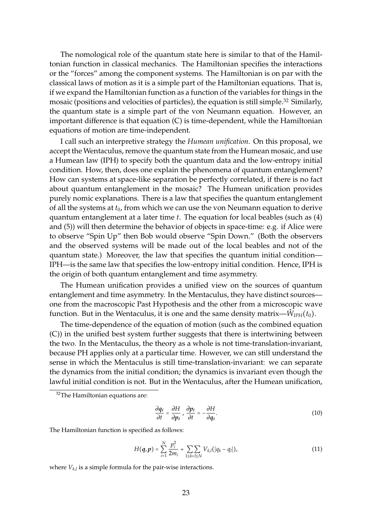The nomological role of the quantum state here is similar to that of the Hamiltonian function in classical mechanics. The Hamiltonian specifies the interactions or the "forces" among the component systems. The Hamiltonian is on par with the classical laws of motion as it is a simple part of the Hamiltonian equations. That is, if we expand the Hamiltonian function as a function of the variables for things in the mosaic (positions and velocities of particles), the equation is still simple.<sup>32</sup> Similarly, the quantum state is a simple part of the von Neumann equation. However, an important difference is that equation (C) is time-dependent, while the Hamiltonian equations of motion are time-independent.

I call such an interpretive strategy the *Humean unification*. On this proposal, we accept the Wentaculus, remove the quantum state from the Humean mosaic, and use a Humean law (IPH) to specify both the quantum data and the low-entropy initial condition. How, then, does one explain the phenomena of quantum entanglement? How can systems at space-like separation be perfectly correlated, if there is no fact about quantum entanglement in the mosaic? The Humean unification provides purely nomic explanations. There is a law that specifies the quantum entanglement of all the systems at *t*0, from which we can use the von Neumann equation to derive quantum entanglement at a later time *t*. The equation for local beables (such as (4) and (5)) will then determine the behavior of objects in space-time: e.g. if Alice were to observe "Spin Up" then Bob would observe "Spin Down." (Both the observers and the observed systems will be made out of the local beables and not of the quantum state.) Moreover, the law that specifies the quantum initial condition— IPH—is the same law that specifies the low-entropy initial condition. Hence, IPH is the origin of both quantum entanglement and time asymmetry.

The Humean unification provides a unified view on the sources of quantum entanglement and time asymmetry. In the Mentaculus, they have distinct sources one from the macroscopic Past Hypothesis and the other from a microscopic wave function. But in the Wentaculus, it is one and the same density matrix— $\hat{W}_{{IPH}}(t_{0})$ .

The time-dependence of the equation of motion (such as the combined equation (C)) in the unified best system further suggests that there is intertwining between the two. In the Mentaculus, the theory as a whole is not time-translation-invariant, because PH applies only at a particular time. However, we can still understand the sense in which the Mentaculus is still time-translation-invariant: we can separate the dynamics from the initial condition; the dynamics is invariant even though the lawful initial condition is not. But in the Wentaculus, after the Humean unification,

$$
\frac{\partial q_i}{\partial t} = \frac{\partial H}{\partial p_i}, \frac{\partial p_i}{\partial t} = -\frac{\partial H}{\partial q_i}.
$$
 (10)

The Hamiltonian function is specified as follows:

$$
H(q,p) = \sum_{i=1}^{N} \frac{p_i^2}{2m_i} + \sum_{1 \le k < l \le N} V_{k,l}(|q_k - q_l|),\tag{11}
$$

where *Vk*,*<sup>l</sup>* is a simple formula for the pair-wise interactions.

<sup>&</sup>lt;sup>32</sup>The Hamiltonian equations are: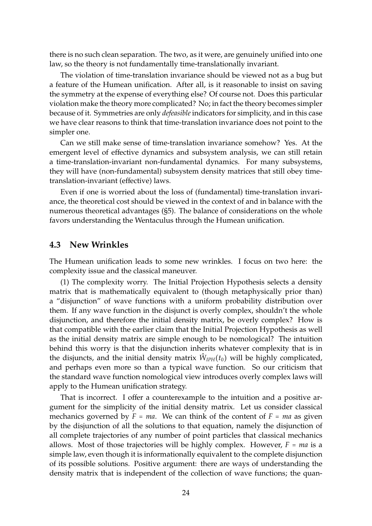there is no such clean separation. The two, as it were, are genuinely unified into one law, so the theory is not fundamentally time-translationally invariant.

The violation of time-translation invariance should be viewed not as a bug but a feature of the Humean unification. After all, is it reasonable to insist on saving the symmetry at the expense of everything else? Of course not. Does this particular violation make the theory more complicated? No; in fact the theory becomes simpler because of it. Symmetries are only *defeasible* indicators for simplicity, and in this case we have clear reasons to think that time-translation invariance does not point to the simpler one.

Can we still make sense of time-translation invariance somehow? Yes. At the emergent level of effective dynamics and subsystem analysis, we can still retain a time-translation-invariant non-fundamental dynamics. For many subsystems, they will have (non-fundamental) subsystem density matrices that still obey timetranslation-invariant (effective) laws.

Even if one is worried about the loss of (fundamental) time-translation invariance, the theoretical cost should be viewed in the context of and in balance with the numerous theoretical advantages (§5). The balance of considerations on the whole favors understanding the Wentaculus through the Humean unification.

### **4.3 New Wrinkles**

The Humean unification leads to some new wrinkles. I focus on two here: the complexity issue and the classical maneuver.

(1) The complexity worry. The Initial Projection Hypothesis selects a density matrix that is mathematically equivalent to (though metaphysically prior than) a "disjunction" of wave functions with a uniform probability distribution over them. If any wave function in the disjunct is overly complex, shouldn't the whole disjunction, and therefore the initial density matrix, be overly complex? How is that compatible with the earlier claim that the Initial Projection Hypothesis as well as the initial density matrix are simple enough to be nomological? The intuition behind this worry is that the disjunction inherits whatever complexity that is in the disjuncts, and the initial density matrix  $\hat{W}_{IPH}(t_0)$  will be highly complicated, and perhaps even more so than a typical wave function. So our criticism that the standard wave function nomological view introduces overly complex laws will apply to the Humean unification strategy.

That is incorrect. I offer a counterexample to the intuition and a positive argument for the simplicity of the initial density matrix. Let us consider classical mechanics governed by  $F = ma$ . We can think of the content of  $F = ma$  as given by the disjunction of all the solutions to that equation, namely the disjunction of all complete trajectories of any number of point particles that classical mechanics allows. Most of those trajectories will be highly complex. However, *F* = *ma* is a simple law, even though it is informationally equivalent to the complete disjunction of its possible solutions. Positive argument: there are ways of understanding the density matrix that is independent of the collection of wave functions; the quan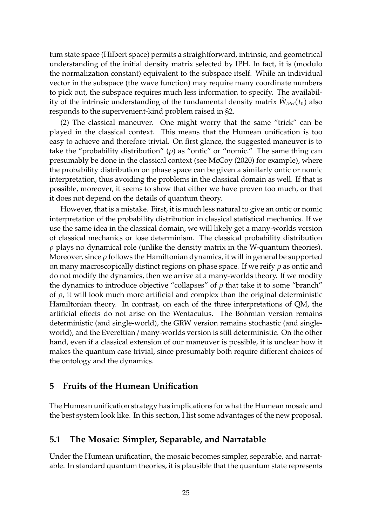tum state space (Hilbert space) permits a straightforward, intrinsic, and geometrical understanding of the initial density matrix selected by IPH. In fact, it is (modulo the normalization constant) equivalent to the subspace itself. While an individual vector in the subspace (the wave function) may require many coordinate numbers to pick out, the subspace requires much less information to specify. The availability of the intrinsic understanding of the fundamental density matrix  $\hat{W}_{IPH}(t_0)$  also responds to the supervenient-kind problem raised in §2.

(2) The classical maneuver. One might worry that the same "trick" can be played in the classical context. This means that the Humean unification is too easy to achieve and therefore trivial. On first glance, the suggested maneuver is to take the "probability distribution" ( $\rho$ ) as "ontic" or "nomic." The same thing can presumably be done in the classical context (see McCoy (2020) for example), where the probability distribution on phase space can be given a similarly ontic or nomic interpretation, thus avoiding the problems in the classical domain as well. If that is possible, moreover, it seems to show that either we have proven too much, or that it does not depend on the details of quantum theory.

However, that is a mistake. First, it is much less natural to give an ontic or nomic interpretation of the probability distribution in classical statistical mechanics. If we use the same idea in the classical domain, we will likely get a many-worlds version of classical mechanics or lose determinism. The classical probability distribution  $\rho$  plays no dynamical role (unlike the density matrix in the W-quantum theories). Moreover, since  $\rho$  follows the Hamiltonian dynamics, it will in general be supported on many macroscopically distinct regions on phase space. If we reify  $\rho$  as ontic and do not modify the dynamics, then we arrive at a many-worlds theory. If we modify the dynamics to introduce objective "collapses" of  $\rho$  that take it to some "branch" of  $\rho$ , it will look much more artificial and complex than the original deterministic Hamiltonian theory. In contrast, on each of the three interpretations of QM, the artificial effects do not arise on the Wentaculus. The Bohmian version remains deterministic (and single-world), the GRW version remains stochastic (and singleworld), and the Everettian / many-worlds version is still deterministic. On the other hand, even if a classical extension of our maneuver is possible, it is unclear how it makes the quantum case trivial, since presumably both require different choices of the ontology and the dynamics.

### **5 Fruits of the Humean Unification**

The Humean unification strategy has implications for what the Humean mosaic and the best system look like. In this section, I list some advantages of the new proposal.

#### **5.1 The Mosaic: Simpler, Separable, and Narratable**

Under the Humean unification, the mosaic becomes simpler, separable, and narratable. In standard quantum theories, it is plausible that the quantum state represents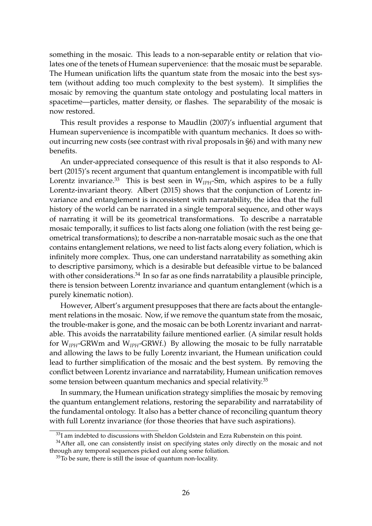something in the mosaic. This leads to a non-separable entity or relation that violates one of the tenets of Humean supervenience: that the mosaic must be separable. The Humean unification lifts the quantum state from the mosaic into the best system (without adding too much complexity to the best system). It simplifies the mosaic by removing the quantum state ontology and postulating local matters in spacetime—particles, matter density, or flashes. The separability of the mosaic is now restored.

This result provides a response to Maudlin (2007)'s influential argument that Humean supervenience is incompatible with quantum mechanics. It does so without incurring new costs (see contrast with rival proposals in §6) and with many new benefits.

An under-appreciated consequence of this result is that it also responds to Albert (2015)'s recent argument that quantum entanglement is incompatible with full Lorentz invariance.<sup>33</sup> This is best seen in W<sub>IPH</sub>-Sm, which aspires to be a fully Lorentz-invariant theory. Albert (2015) shows that the conjunction of Lorentz invariance and entanglement is inconsistent with narratability, the idea that the full history of the world can be narrated in a single temporal sequence, and other ways of narrating it will be its geometrical transformations. To describe a narratable mosaic temporally, it suffices to list facts along one foliation (with the rest being geometrical transformations); to describe a non-narratable mosaic such as the one that contains entanglement relations, we need to list facts along every foliation, which is infinitely more complex. Thus, one can understand narratability as something akin to descriptive parsimony, which is a desirable but defeasible virtue to be balanced with other considerations.<sup>34</sup> In so far as one finds narratability a plausible principle, there is tension between Lorentz invariance and quantum entanglement (which is a purely kinematic notion).

However, Albert's argument presupposes that there are facts about the entanglement relations in the mosaic. Now, if we remove the quantum state from the mosaic, the trouble-maker is gone, and the mosaic can be both Lorentz invariant and narratable. This avoids the narratability failure mentioned earlier. (A similar result holds for W*IPH*-GRWm and W*IPH*-GRWf.) By allowing the mosaic to be fully narratable and allowing the laws to be fully Lorentz invariant, the Humean unification could lead to further simplification of the mosaic and the best system. By removing the conflict between Lorentz invariance and narratability, Humean unification removes some tension between quantum mechanics and special relativity.<sup>35</sup>

In summary, the Humean unification strategy simplifies the mosaic by removing the quantum entanglement relations, restoring the separability and narratability of the fundamental ontology. It also has a better chance of reconciling quantum theory with full Lorentz invariance (for those theories that have such aspirations).

 $33$ I am indebted to discussions with Sheldon Goldstein and Ezra Rubenstein on this point.

<sup>&</sup>lt;sup>34</sup> After all, one can consistently insist on specifying states only directly on the mosaic and not through any temporal sequences picked out along some foliation.

 $35$ To be sure, there is still the issue of quantum non-locality.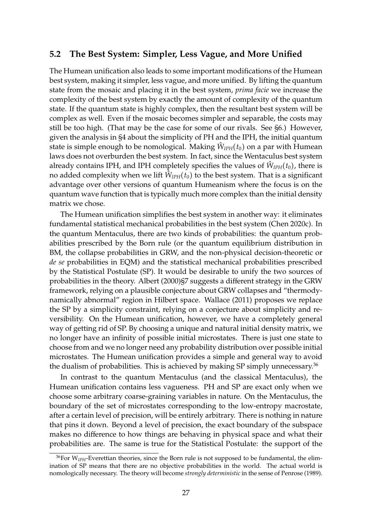#### **5.2 The Best System: Simpler, Less Vague, and More Unified**

The Humean unification also leads to some important modifications of the Humean best system, making it simpler, less vague, and more unified. By lifting the quantum state from the mosaic and placing it in the best system, *prima facie* we increase the complexity of the best system by exactly the amount of complexity of the quantum state. If the quantum state is highly complex, then the resultant best system will be complex as well. Even if the mosaic becomes simpler and separable, the costs may still be too high. (That may be the case for some of our rivals. See §6.) However, given the analysis in §4 about the simplicity of PH and the IPH, the initial quantum state is simple enough to be nomological. Making  $\hat{W}_{IPH}(t_0)$  on a par with Humean laws does not overburden the best system. In fact, since the Wentaculus best system already contains IPH, and IPH completely specifies the values of  $\hat{W}_{IPH}(t_0)$ , there is no added complexity when we lift  $\hat{W}_{IPH}(t_0)$  to the best system. That is a significant advantage over other versions of quantum Humeanism where the focus is on the quantum wave function that is typically much more complex than the initial density matrix we chose.

The Humean unification simplifies the best system in another way: it eliminates fundamental statistical mechanical probabilities in the best system (Chen 2020c). In the quantum Mentaculus, there are two kinds of probabilities: the quantum probabilities prescribed by the Born rule (or the quantum equilibrium distribution in BM, the collapse probabilities in GRW, and the non-physical decision-theoretic or *de se* probabilities in EQM) and the statistical mechanical probabilities prescribed by the Statistical Postulate (SP). It would be desirable to unify the two sources of probabilities in the theory. Albert (2000)§7 suggests a different strategy in the GRW framework, relying on a plausible conjecture about GRW collapses and "thermodynamically abnormal" region in Hilbert space. Wallace (2011) proposes we replace the SP by a simplicity constraint, relying on a conjecture about simplicity and reversibility. On the Humean unification, however, we have a completely general way of getting rid of SP. By choosing a unique and natural initial density matrix, we no longer have an infinity of possible initial microstates. There is just one state to choose from and we no longer need any probability distribution over possible initial microstates. The Humean unification provides a simple and general way to avoid the dualism of probabilities. This is achieved by making SP simply unnecessary.<sup>36</sup>

In contrast to the quantum Mentaculus (and the classical Mentaculus), the Humean unification contains less vagueness. PH and SP are exact only when we choose some arbitrary coarse-graining variables in nature. On the Mentaculus, the boundary of the set of microstates corresponding to the low-entropy macrostate, after a certain level of precision, will be entirely arbitrary. There is nothing in nature that pins it down. Beyond a level of precision, the exact boundary of the subspace makes no difference to how things are behaving in physical space and what their probabilities are. The same is true for the Statistical Postulate: the support of the

<sup>&</sup>lt;sup>36</sup>For W<sub>IPH</sub>-Everettian theories, since the Born rule is not supposed to be fundamental, the elimination of SP means that there are no objective probabilities in the world. The actual world is nomologically necessary. The theory will become *strongly deterministic* in the sense of Penrose (1989).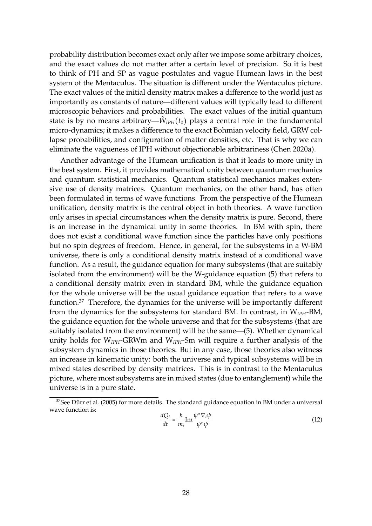probability distribution becomes exact only after we impose some arbitrary choices, and the exact values do not matter after a certain level of precision. So it is best to think of PH and SP as vague postulates and vague Humean laws in the best system of the Mentaculus. The situation is different under the Wentaculus picture. The exact values of the initial density matrix makes a difference to the world just as importantly as constants of nature—different values will typically lead to different microscopic behaviors and probabilities. The exact values of the initial quantum state is by no means arbitrary— $\hat{W}_{IPH}(t_0)$  plays a central role in the fundamental micro-dynamics; it makes a difference to the exact Bohmian velocity field, GRW collapse probabilities, and configuration of matter densities, etc. That is why we can eliminate the vagueness of IPH without objectionable arbitrariness (Chen 2020a).

Another advantage of the Humean unification is that it leads to more unity in the best system. First, it provides mathematical unity between quantum mechanics and quantum statistical mechanics. Quantum statistical mechanics makes extensive use of density matrices. Quantum mechanics, on the other hand, has often been formulated in terms of wave functions. From the perspective of the Humean unification, density matrix is the central object in both theories. A wave function only arises in special circumstances when the density matrix is pure. Second, there is an increase in the dynamical unity in some theories. In BM with spin, there does not exist a conditional wave function since the particles have only positions but no spin degrees of freedom. Hence, in general, for the subsystems in a W-BM universe, there is only a conditional density matrix instead of a conditional wave function. As a result, the guidance equation for many subsystems (that are suitably isolated from the environment) will be the W-guidance equation (5) that refers to a conditional density matrix even in standard BM, while the guidance equation for the whole universe will be the usual guidance equation that refers to a wave function.<sup>37</sup> Therefore, the dynamics for the universe will be importantly different from the dynamics for the subsystems for standard BM. In contrast, in W*IPH*-BM, the guidance equation for the whole universe and that for the subsystems (that are suitably isolated from the environment) will be the same—(5). Whether dynamical unity holds for W*IPH*-GRWm and W*IPH*-Sm will require a further analysis of the subsystem dynamics in those theories. But in any case, those theories also witness an increase in kinematic unity: both the universe and typical subsystems will be in mixed states described by density matrices. This is in contrast to the Mentaculus picture, where most subsystems are in mixed states (due to entanglement) while the universe is in a pure state.

$$
\frac{dQ_i}{dt} = \frac{\hbar}{m_i} \text{Im} \frac{\psi^* \nabla_i \psi}{\psi^* \psi} \tag{12}
$$

 $37$ See Dürr et al. (2005) for more details. The standard guidance equation in BM under a universal wave function is: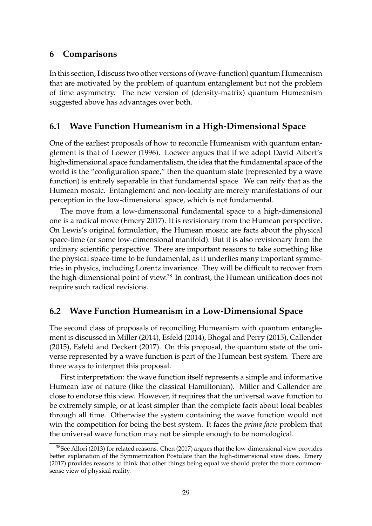## **6 Comparisons**

In this section, I discuss two other versions of (wave-function) quantum Humeanism that are motivated by the problem of quantum entanglement but not the problem of time asymmetry. The new version of (density-matrix) quantum Humeanism suggested above has advantages over both.

## **6.1 Wave Function Humeanism in a High-Dimensional Space**

One of the earliest proposals of how to reconcile Humeanism with quantum entanglement is that of Loewer (1996). Loewer argues that if we adopt David Albert's high-dimensional space fundamentalism, the idea that the fundamental space of the world is the "configuration space," then the quantum state (represented by a wave function) is entirely separable in that fundamental space. We can reify that as the Humean mosaic. Entanglement and non-locality are merely manifestations of our perception in the low-dimensional space, which is not fundamental.

The move from a low-dimensional fundamental space to a high-dimensional one is a radical move (Emery 2017). It is revisionary from the Humean perspective. On Lewis's original formulation, the Humean mosaic are facts about the physical space-time (or some low-dimensional manifold). But it is also revisionary from the ordinary scientific perspective. There are important reasons to take something like the physical space-time to be fundamental, as it underlies many important symmetries in physics, including Lorentz invariance. They will be difficult to recover from the high-dimensional point of view.<sup>38</sup> In contrast, the Humean unification does not require such radical revisions.

## **6.2 Wave Function Humeanism in a Low-Dimensional Space**

The second class of proposals of reconciling Humeanism with quantum entanglement is discussed in Miller (2014), Esfeld (2014), Bhogal and Perry (2015), Callender (2015), Esfeld and Deckert (2017). On this proposal, the quantum state of the universe represented by a wave function is part of the Humean best system. There are three ways to interpret this proposal.

First interpretation: the wave function itself represents a simple and informative Humean law of nature (like the classical Hamiltonian). Miller and Callender are close to endorse this view. However, it requires that the universal wave function to be extremely simple, or at least simpler than the complete facts about local beables through all time. Otherwise the system containing the wave function would not win the competition for being the best system. It faces the *prima facie* problem that the universal wave function may not be simple enough to be nomological.

<sup>&</sup>lt;sup>38</sup>See Allori (2013) for related reasons. Chen (2017) argues that the low-dimensional view provides better explanation of the Symmetrization Postulate than the high-dimensional view does. Emery (2017) provides reasons to think that other things being equal we should prefer the more commonsense view of physical reality.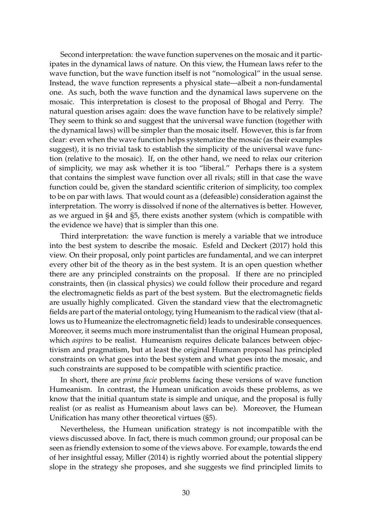Second interpretation: the wave function supervenes on the mosaic and it participates in the dynamical laws of nature. On this view, the Humean laws refer to the wave function, but the wave function itself is not "nomological" in the usual sense. Instead, the wave function represents a physical state—albeit a non-fundamental one. As such, both the wave function and the dynamical laws supervene on the mosaic. This interpretation is closest to the proposal of Bhogal and Perry. The natural question arises again: does the wave function have to be relatively simple? They seem to think so and suggest that the universal wave function (together with the dynamical laws) will be simpler than the mosaic itself. However, this is far from clear: even when the wave function helps systematize the mosaic (as their examples suggest), it is no trivial task to establish the simplicity of the universal wave function (relative to the mosaic). If, on the other hand, we need to relax our criterion of simplicity, we may ask whether it is too "liberal." Perhaps there is a system that contains the simplest wave function over all rivals; still in that case the wave function could be, given the standard scientific criterion of simplicity, too complex to be on par with laws. That would count as a (defeasible) consideration against the interpretation. The worry is dissolved if none of the alternatives is better. However, as we argued in §4 and §5, there exists another system (which is compatible with the evidence we have) that is simpler than this one.

Third interpretation: the wave function is merely a variable that we introduce into the best system to describe the mosaic. Esfeld and Deckert (2017) hold this view. On their proposal, only point particles are fundamental, and we can interpret every other bit of the theory as in the best system. It is an open question whether there are any principled constraints on the proposal. If there are no principled constraints, then (in classical physics) we could follow their procedure and regard the electromagnetic fields as part of the best system. But the electromagnetic fields are usually highly complicated. Given the standard view that the electromagnetic fields are part of the material ontology, tying Humeanism to the radical view (that allows us to Humeanize the electromagnetic field) leads to undesirable consequences. Moreover, it seems much more instrumentalist than the original Humean proposal, which *aspires* to be realist. Humeanism requires delicate balances between objectivism and pragmatism, but at least the original Humean proposal has principled constraints on what goes into the best system and what goes into the mosaic, and such constraints are supposed to be compatible with scientific practice.

In short, there are *prima facie* problems facing these versions of wave function Humeanism. In contrast, the Humean unification avoids these problems, as we know that the initial quantum state is simple and unique, and the proposal is fully realist (or as realist as Humeanism about laws can be). Moreover, the Humean Unification has many other theoretical virtues (§5).

Nevertheless, the Humean unification strategy is not incompatible with the views discussed above. In fact, there is much common ground; our proposal can be seen as friendly extension to some of the views above. For example, towards the end of her insightful essay, Miller (2014) is rightly worried about the potential slippery slope in the strategy she proposes, and she suggests we find principled limits to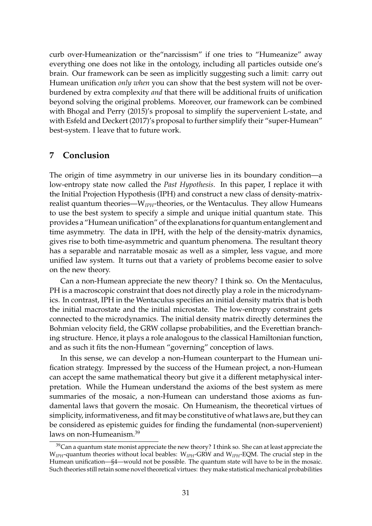curb over-Humeanization or the"narcissism" if one tries to "Humeanize" away everything one does not like in the ontology, including all particles outside one's brain. Our framework can be seen as implicitly suggesting such a limit: carry out Humean unification *only when* you can show that the best system will not be overburdened by extra complexity *and* that there will be additional fruits of unification beyond solving the original problems. Moreover, our framework can be combined with Bhogal and Perry (2015)'s proposal to simplify the supervenient L-state, and with Esfeld and Deckert (2017)'s proposal to further simplify their "super-Humean" best-system. I leave that to future work.

### **7 Conclusion**

The origin of time asymmetry in our universe lies in its boundary condition—a low-entropy state now called the *Past Hypothesis*. In this paper, I replace it with the Initial Projection Hypothesis (IPH) and construct a new class of density-matrixrealist quantum theories—W*IPH*-theories, or the Wentaculus. They allow Humeans to use the best system to specify a simple and unique initial quantum state. This provides a "Humean unification" of the explanations for quantum entanglement and time asymmetry. The data in IPH, with the help of the density-matrix dynamics, gives rise to both time-asymmetric and quantum phenomena. The resultant theory has a separable and narratable mosaic as well as a simpler, less vague, and more unified law system. It turns out that a variety of problems become easier to solve on the new theory.

Can a non-Humean appreciate the new theory? I think so. On the Mentaculus, PH is a macroscopic constraint that does not directly play a role in the microdynamics. In contrast, IPH in the Wentaculus specifies an initial density matrix that is both the initial macrostate and the initial microstate. The low-entropy constraint gets connected to the microdynamics. The initial density matrix directly determines the Bohmian velocity field, the GRW collapse probabilities, and the Everettian branching structure. Hence, it plays a role analogous to the classical Hamiltonian function, and as such it fits the non-Humean "governing" conception of laws.

In this sense, we can develop a non-Humean counterpart to the Humean unification strategy. Impressed by the success of the Humean project, a non-Humean can accept the same mathematical theory but give it a different metaphysical interpretation. While the Humean understand the axioms of the best system as mere summaries of the mosaic, a non-Humean can understand those axioms as fundamental laws that govern the mosaic. On Humeanism, the theoretical virtues of simplicity, informativeness, and fit may be constitutive of what laws are, but they can be considered as epistemic guides for finding the fundamental (non-supervenient) laws on non-Humeanism.<sup>39</sup>

<sup>&</sup>lt;sup>39</sup>Can a quantum state monist appreciate the new theory? I think so. She can at least appreciate the W*IPH*-quantum theories without local beables: W*IPH*-GRW and W*IPH*-EQM. The crucial step in the Humean unification—§4—would not be possible. The quantum state will have to be in the mosaic. Such theories still retain some novel theoretical virtues: they make statistical mechanical probabilities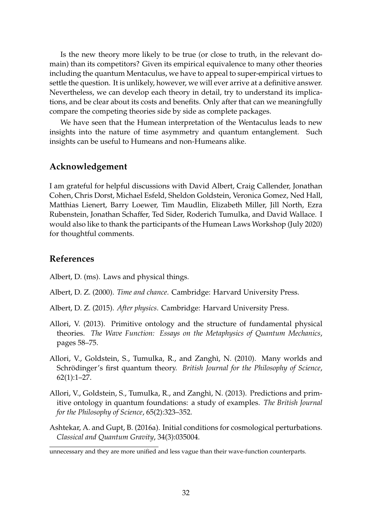Is the new theory more likely to be true (or close to truth, in the relevant domain) than its competitors? Given its empirical equivalence to many other theories including the quantum Mentaculus, we have to appeal to super-empirical virtues to settle the question. It is unlikely, however, we will ever arrive at a definitive answer. Nevertheless, we can develop each theory in detail, try to understand its implications, and be clear about its costs and benefits. Only after that can we meaningfully compare the competing theories side by side as complete packages.

We have seen that the Humean interpretation of the Wentaculus leads to new insights into the nature of time asymmetry and quantum entanglement. Such insights can be useful to Humeans and non-Humeans alike.

#### **Acknowledgement**

I am grateful for helpful discussions with David Albert, Craig Callender, Jonathan Cohen, Chris Dorst, Michael Esfeld, Sheldon Goldstein, Veronica Gomez, Ned Hall, Matthias Lienert, Barry Loewer, Tim Maudlin, Elizabeth Miller, Jill North, Ezra Rubenstein, Jonathan Schaffer, Ted Sider, Roderich Tumulka, and David Wallace. I would also like to thank the participants of the Humean Laws Workshop (July 2020) for thoughtful comments.

#### **References**

Albert, D. (ms). Laws and physical things.

- Albert, D. Z. (2000). *Time and chance*. Cambridge: Harvard University Press.
- Albert, D. Z. (2015). *After physics*. Cambridge: Harvard University Press.
- Allori, V. (2013). Primitive ontology and the structure of fundamental physical theories. *The Wave Function: Essays on the Metaphysics of Quantum Mechanics*, pages 58–75.
- Allori, V., Goldstein, S., Tumulka, R., and Zanghì, N. (2010). Many worlds and Schrödinger's first quantum theory. *British Journal for the Philosophy of Science*, 62(1):1–27.
- Allori, V., Goldstein, S., Tumulka, R., and Zanghì, N. (2013). Predictions and primitive ontology in quantum foundations: a study of examples. *The British Journal for the Philosophy of Science*, 65(2):323–352.
- Ashtekar, A. and Gupt, B. (2016a). Initial conditions for cosmological perturbations. *Classical and Quantum Gravity*, 34(3):035004.

unnecessary and they are more unified and less vague than their wave-function counterparts.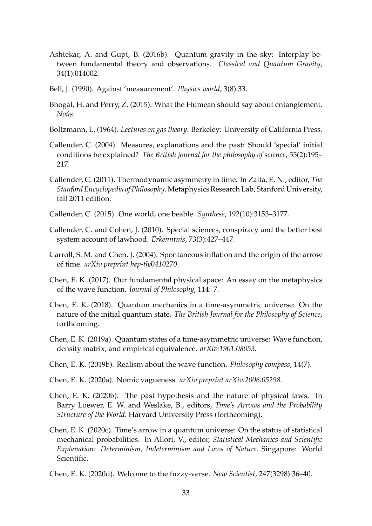- Ashtekar, A. and Gupt, B. (2016b). Quantum gravity in the sky: Interplay between fundamental theory and observations. *Classical and Quantum Gravity*, 34(1):014002.
- Bell, J. (1990). Against 'measurement'. *Physics world*, 3(8):33.
- Bhogal, H. and Perry, Z. (2015). What the Humean should say about entanglement. *Noûs*.
- Boltzmann, L. (1964). *Lectures on gas theory*. Berkeley: University of California Press.
- Callender, C. (2004). Measures, explanations and the past: Should 'special' initial conditions be explained? *The British journal for the philosophy of science*, 55(2):195– 217.
- Callender, C. (2011). Thermodynamic asymmetry in time. In Zalta, E. N., editor, *The Stanford Encyclopedia of Philosophy*.Metaphysics Research Lab, Stanford University, fall 2011 edition.
- Callender, C. (2015). One world, one beable. *Synthese*, 192(10):3153–3177.
- Callender, C. and Cohen, J. (2010). Special sciences, conspiracy and the better best system account of lawhood. *Erkenntnis*, 73(3):427–447.
- Carroll, S. M. and Chen, J. (2004). Spontaneous inflation and the origin of the arrow of time. *arXiv preprint hep-th*/*0410270*.
- Chen, E. K. (2017). Our fundamental physical space: An essay on the metaphysics of the wave function. *Journal of Philosophy*, 114: 7.
- Chen, E. K. (2018). Quantum mechanics in a time-asymmetric universe: On the nature of the initial quantum state. *The British Journal for the Philosophy of Science*, forthcoming.
- Chen, E. K. (2019a). Quantum states of a time-asymmetric universe: Wave function, density matrix, and empirical equivalence. *arXiv:1901.08053*.
- Chen, E. K. (2019b). Realism about the wave function. *Philosophy compass*, 14(7).
- Chen, E. K. (2020a). Nomic vagueness. *arXiv preprint arXiv:2006.05298*.
- Chen, E. K. (2020b). The past hypothesis and the nature of physical laws. In Barry Loewer, E. W. and Weslake, B., editors, *Time's Arrows and the Probability Structure of the World*. Harvard University Press (forthcoming).
- Chen, E. K. (2020c). Time's arrow in a quantum universe: On the status of statistical mechanical probabilities. In Allori, V., editor, *Statistical Mechanics and Scientific Explanation: Determinism, Indeterminism and Laws of Nature*. Singapore: World Scientific.
- Chen, E. K. (2020d). Welcome to the fuzzy-verse. *New Scientist*, 247(3298):36–40.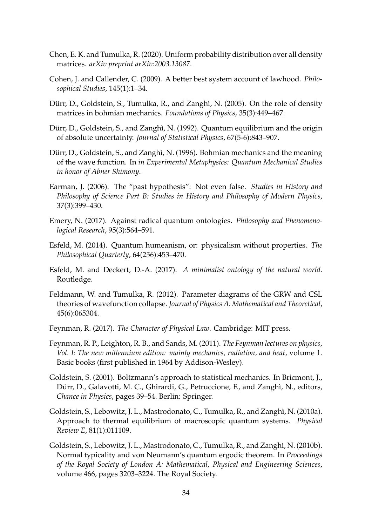- Chen, E. K. and Tumulka, R. (2020). Uniform probability distribution over all density matrices. *arXiv preprint arXiv:2003.13087*.
- Cohen, J. and Callender, C. (2009). A better best system account of lawhood. *Philosophical Studies*, 145(1):1–34.
- Dürr, D., Goldstein, S., Tumulka, R., and Zanghì, N. (2005). On the role of density matrices in bohmian mechanics. *Foundations of Physics*, 35(3):449–467.
- Dürr, D., Goldstein, S., and Zanghì, N. (1992). Quantum equilibrium and the origin of absolute uncertainty. *Journal of Statistical Physics*, 67(5-6):843–907.
- Dürr, D., Goldstein, S., and Zanghì, N. (1996). Bohmian mechanics and the meaning of the wave function. In *in Experimental Metaphysics: Quantum Mechanical Studies in honor of Abner Shimony*.
- Earman, J. (2006). The "past hypothesis": Not even false. *Studies in History and Philosophy of Science Part B: Studies in History and Philosophy of Modern Physics*, 37(3):399–430.
- Emery, N. (2017). Against radical quantum ontologies. *Philosophy and Phenomenological Research*, 95(3):564–591.
- Esfeld, M. (2014). Quantum humeanism, or: physicalism without properties. *The Philosophical Quarterly*, 64(256):453–470.
- Esfeld, M. and Deckert, D.-A. (2017). *A minimalist ontology of the natural world*. Routledge.
- Feldmann, W. and Tumulka, R. (2012). Parameter diagrams of the GRW and CSL theories of wavefunction collapse. *Journal of Physics A: Mathematical and Theoretical*, 45(6):065304.
- Feynman, R. (2017). *The Character of Physical Law*. Cambridge: MIT press.
- Feynman, R. P., Leighton, R. B., and Sands, M. (2011). *The Feynman lectures on physics, Vol. I: The new millennium edition: mainly mechanics, radiation, and heat*, volume 1. Basic books (first published in 1964 by Addison-Wesley).
- Goldstein, S. (2001). Boltzmann's approach to statistical mechanics. In Bricmont, J., Dürr, D., Galavotti, M. C., Ghirardi, G., Petruccione, F., and Zanghì, N., editors, *Chance in Physics*, pages 39–54. Berlin: Springer.
- Goldstein, S., Lebowitz, J. L., Mastrodonato, C., Tumulka, R., and Zanghì, N. (2010a). Approach to thermal equilibrium of macroscopic quantum systems. *Physical Review E*, 81(1):011109.
- Goldstein, S., Lebowitz, J. L., Mastrodonato, C., Tumulka, R., and Zanghì, N. (2010b). Normal typicality and von Neumann's quantum ergodic theorem. In *Proceedings of the Royal Society of London A: Mathematical, Physical and Engineering Sciences*, volume 466, pages 3203–3224. The Royal Society.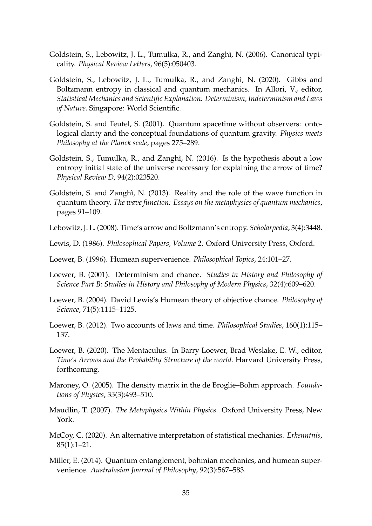- Goldstein, S., Lebowitz, J. L., Tumulka, R., and Zanghì, N. (2006). Canonical typicality. *Physical Review Letters*, 96(5):050403.
- Goldstein, S., Lebowitz, J. L., Tumulka, R., and Zanghì, N. (2020). Gibbs and Boltzmann entropy in classical and quantum mechanics. In Allori, V., editor, *Statistical Mechanics and Scientific Explanation: Determinism, Indeterminism and Laws of Nature*. Singapore: World Scientific.
- Goldstein, S. and Teufel, S. (2001). Quantum spacetime without observers: ontological clarity and the conceptual foundations of quantum gravity. *Physics meets Philosophy at the Planck scale*, pages 275–289.
- Goldstein, S., Tumulka, R., and Zanghì, N. (2016). Is the hypothesis about a low entropy initial state of the universe necessary for explaining the arrow of time? *Physical Review D*, 94(2):023520.
- Goldstein, S. and Zanghì, N. (2013). Reality and the role of the wave function in quantum theory. *The wave function: Essays on the metaphysics of quantum mechanics*, pages 91–109.
- Lebowitz, J. L. (2008). Time's arrow and Boltzmann's entropy. *Scholarpedia*, 3(4):3448.
- Lewis, D. (1986). *Philosophical Papers, Volume 2*. Oxford University Press, Oxford.
- Loewer, B. (1996). Humean supervenience. *Philosophical Topics*, 24:101–27.
- Loewer, B. (2001). Determinism and chance. *Studies in History and Philosophy of Science Part B: Studies in History and Philosophy of Modern Physics*, 32(4):609–620.
- Loewer, B. (2004). David Lewis's Humean theory of objective chance. *Philosophy of Science*, 71(5):1115–1125.
- Loewer, B. (2012). Two accounts of laws and time. *Philosophical Studies*, 160(1):115– 137.
- Loewer, B. (2020). The Mentaculus. In Barry Loewer, Brad Weslake, E. W., editor, *Time's Arrows and the Probability Structure of the world*. Harvard University Press, forthcoming.
- Maroney, O. (2005). The density matrix in the de Broglie–Bohm approach. *Foundations of Physics*, 35(3):493–510.
- Maudlin, T. (2007). *The Metaphysics Within Physics*. Oxford University Press, New York.
- McCoy, C. (2020). An alternative interpretation of statistical mechanics. *Erkenntnis*, 85(1):1–21.
- Miller, E. (2014). Quantum entanglement, bohmian mechanics, and humean supervenience. *Australasian Journal of Philosophy*, 92(3):567–583.